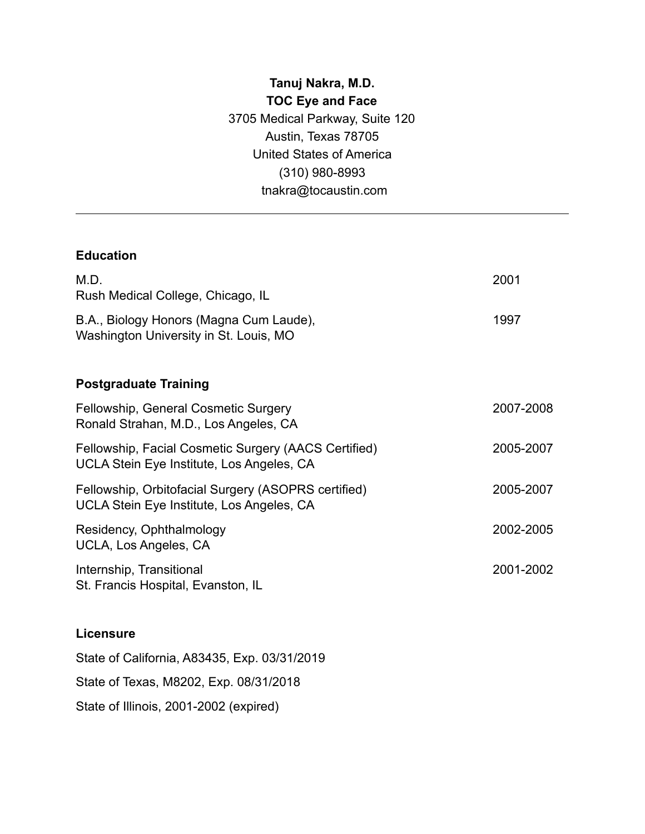## **Tanuj Nakra, M.D. TOC Eye and Face** 3705 Medical Parkway, Suite 120 Austin, Texas 78705 United States of America (310) 980-8993 tnakra@tocaustin.com

#### **Education**

| M.D.<br>Rush Medical College, Chicago, IL                                                         | 2001      |
|---------------------------------------------------------------------------------------------------|-----------|
| B.A., Biology Honors (Magna Cum Laude),<br>Washington University in St. Louis, MO                 | 1997      |
| <b>Postgraduate Training</b>                                                                      |           |
| Fellowship, General Cosmetic Surgery<br>Ronald Strahan, M.D., Los Angeles, CA                     | 2007-2008 |
| Fellowship, Facial Cosmetic Surgery (AACS Certified)<br>UCLA Stein Eye Institute, Los Angeles, CA | 2005-2007 |
| Fellowship, Orbitofacial Surgery (ASOPRS certified)<br>UCLA Stein Eye Institute, Los Angeles, CA  | 2005-2007 |
| Residency, Ophthalmology<br>UCLA, Los Angeles, CA                                                 | 2002-2005 |
| Internship, Transitional<br>St. Francis Hospital, Evanston, IL                                    | 2001-2002 |
|                                                                                                   |           |

#### **Licensure**

State of California, A83435, Exp. 03/31/2019 State of Texas, M8202, Exp. 08/31/2018 State of Illinois, 2001-2002 (expired)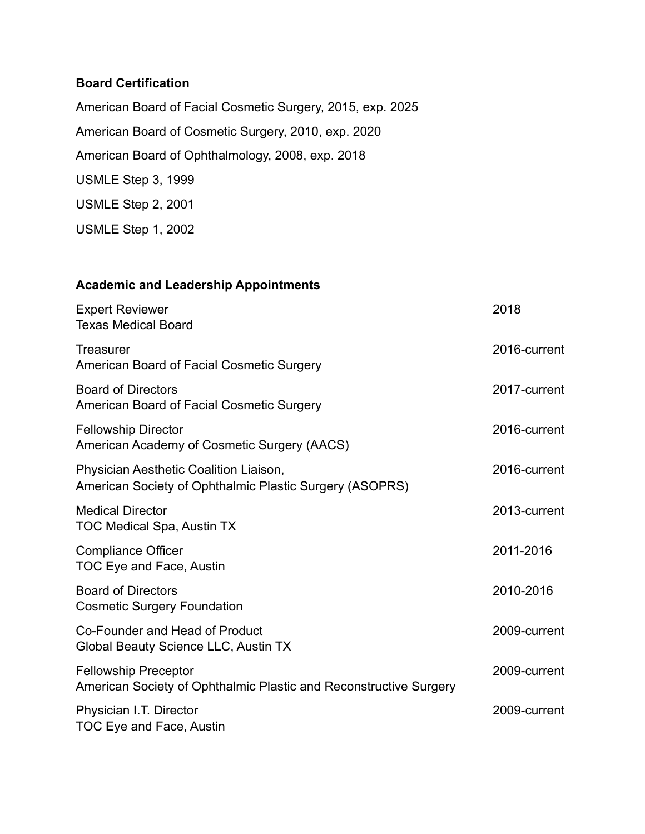## **Board Certification**

American Board of Facial Cosmetic Surgery, 2015, exp. 2025 American Board of Cosmetic Surgery, 2010, exp. 2020 American Board of Ophthalmology, 2008, exp. 2018 USMLE Step 3, 1999 USMLE Step 2, 2001

USMLE Step 1, 2002

## **Academic and Leadership Appointments**

| <b>Expert Reviewer</b><br><b>Texas Medical Board</b>                                              | 2018         |
|---------------------------------------------------------------------------------------------------|--------------|
| <b>Treasurer</b><br>American Board of Facial Cosmetic Surgery                                     | 2016-current |
| <b>Board of Directors</b><br>American Board of Facial Cosmetic Surgery                            | 2017-current |
| <b>Fellowship Director</b><br>American Academy of Cosmetic Surgery (AACS)                         | 2016-current |
| Physician Aesthetic Coalition Liaison,<br>American Society of Ophthalmic Plastic Surgery (ASOPRS) | 2016-current |
| <b>Medical Director</b><br><b>TOC Medical Spa, Austin TX</b>                                      | 2013-current |
| <b>Compliance Officer</b><br>TOC Eye and Face, Austin                                             | 2011-2016    |
| <b>Board of Directors</b><br><b>Cosmetic Surgery Foundation</b>                                   | 2010-2016    |
| Co-Founder and Head of Product<br>Global Beauty Science LLC, Austin TX                            | 2009-current |
| <b>Fellowship Preceptor</b><br>American Society of Ophthalmic Plastic and Reconstructive Surgery  | 2009-current |
| Physician I.T. Director<br><b>TOC Eye and Face, Austin</b>                                        | 2009-current |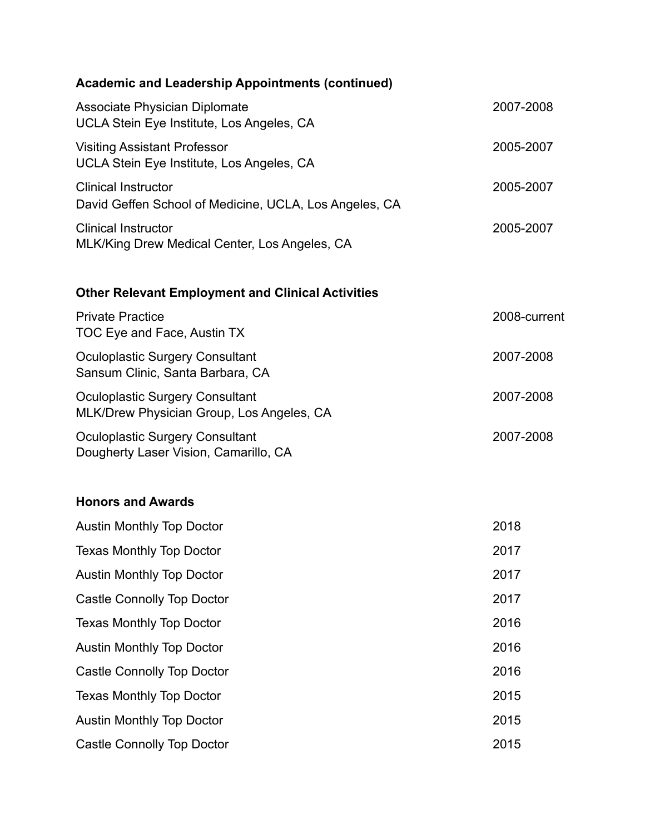| <b>Academic and Leadership Appointments (continued)</b>                              |              |
|--------------------------------------------------------------------------------------|--------------|
| <b>Associate Physician Diplomate</b><br>UCLA Stein Eye Institute, Los Angeles, CA    | 2007-2008    |
| <b>Visiting Assistant Professor</b><br>UCLA Stein Eye Institute, Los Angeles, CA     | 2005-2007    |
| <b>Clinical Instructor</b><br>David Geffen School of Medicine, UCLA, Los Angeles, CA | 2005-2007    |
| <b>Clinical Instructor</b><br>MLK/King Drew Medical Center, Los Angeles, CA          | 2005-2007    |
| <b>Other Relevant Employment and Clinical Activities</b>                             |              |
| <b>Private Practice</b><br>TOC Eye and Face, Austin TX                               | 2008-current |
| <b>Oculoplastic Surgery Consultant</b><br>Sansum Clinic, Santa Barbara, CA           | 2007-2008    |
| <b>Oculoplastic Surgery Consultant</b><br>MLK/Drew Physician Group, Los Angeles, CA  | 2007-2008    |
| <b>Oculoplastic Surgery Consultant</b><br>Dougherty Laser Vision, Camarillo, CA      | 2007-2008    |
| <b>Honors and Awards</b>                                                             |              |
| <b>Austin Monthly Top Doctor</b>                                                     | 2018         |
| <b>Texas Monthly Top Doctor</b>                                                      | 2017         |
| <b>Austin Monthly Top Doctor</b>                                                     | 2017         |
| <b>Castle Connolly Top Doctor</b>                                                    | 2017         |
| <b>Texas Monthly Top Doctor</b>                                                      | 2016         |
| <b>Austin Monthly Top Doctor</b>                                                     | 2016         |
| <b>Castle Connolly Top Doctor</b>                                                    | 2016         |
| <b>Texas Monthly Top Doctor</b>                                                      | 2015         |
| <b>Austin Monthly Top Doctor</b>                                                     | 2015         |
| <b>Castle Connolly Top Doctor</b>                                                    | 2015         |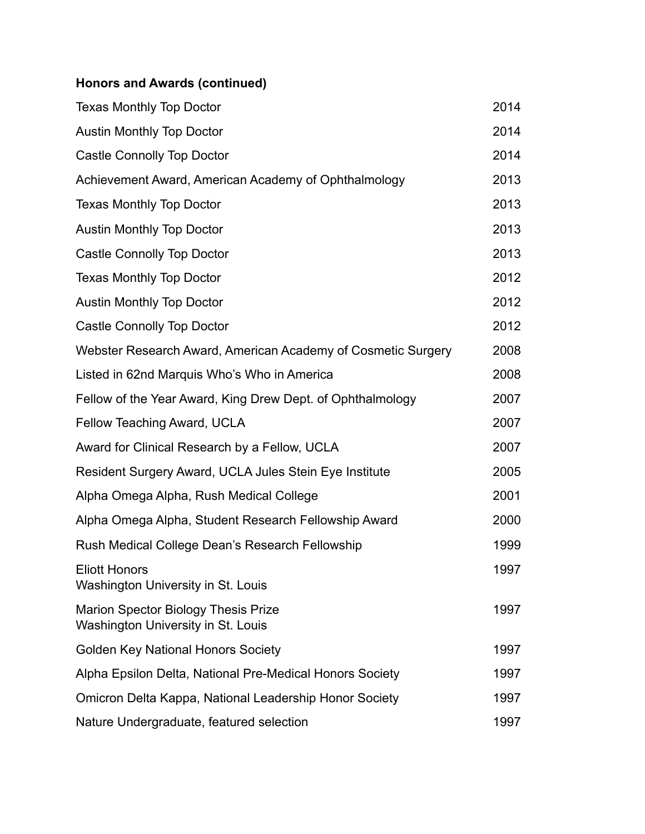## **Honors and Awards (continued)**

| <b>Texas Monthly Top Doctor</b>                                                  | 2014 |
|----------------------------------------------------------------------------------|------|
| <b>Austin Monthly Top Doctor</b>                                                 | 2014 |
| <b>Castle Connolly Top Doctor</b>                                                | 2014 |
| Achievement Award, American Academy of Ophthalmology                             | 2013 |
| <b>Texas Monthly Top Doctor</b>                                                  | 2013 |
| <b>Austin Monthly Top Doctor</b>                                                 | 2013 |
| <b>Castle Connolly Top Doctor</b>                                                | 2013 |
| <b>Texas Monthly Top Doctor</b>                                                  | 2012 |
| <b>Austin Monthly Top Doctor</b>                                                 | 2012 |
| <b>Castle Connolly Top Doctor</b>                                                | 2012 |
| Webster Research Award, American Academy of Cosmetic Surgery                     | 2008 |
| Listed in 62nd Marquis Who's Who in America                                      | 2008 |
| Fellow of the Year Award, King Drew Dept. of Ophthalmology                       | 2007 |
| Fellow Teaching Award, UCLA                                                      | 2007 |
| Award for Clinical Research by a Fellow, UCLA                                    | 2007 |
| Resident Surgery Award, UCLA Jules Stein Eye Institute                           | 2005 |
| Alpha Omega Alpha, Rush Medical College                                          | 2001 |
| Alpha Omega Alpha, Student Research Fellowship Award                             | 2000 |
| Rush Medical College Dean's Research Fellowship                                  | 1999 |
| <b>Eliott Honors</b><br>Washington University in St. Louis                       | 1997 |
| <b>Marion Spector Biology Thesis Prize</b><br>Washington University in St. Louis | 1997 |
| <b>Golden Key National Honors Society</b>                                        | 1997 |
| Alpha Epsilon Delta, National Pre-Medical Honors Society                         | 1997 |
| Omicron Delta Kappa, National Leadership Honor Society                           | 1997 |
| Nature Undergraduate, featured selection                                         | 1997 |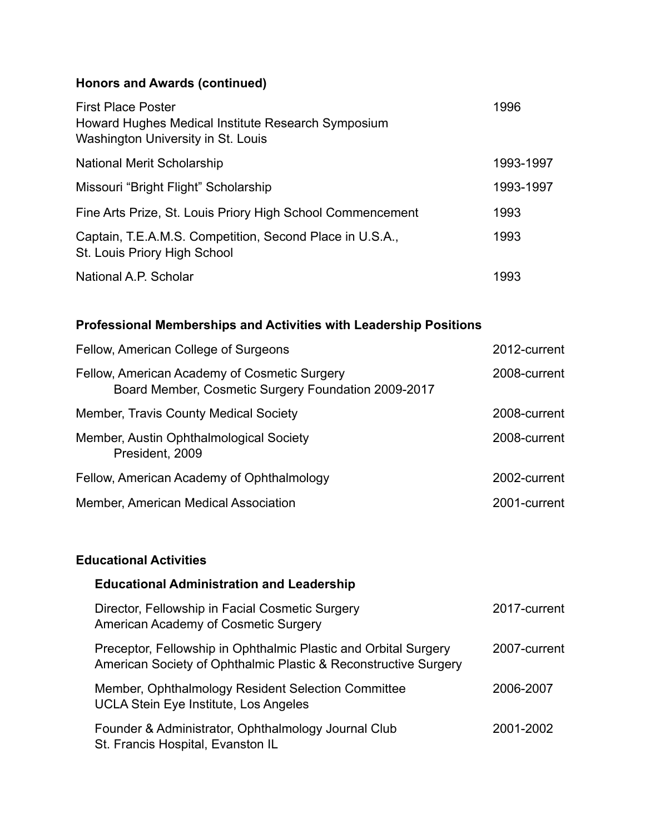## **Honors and Awards (continued)**

| <b>First Place Poster</b><br>Howard Hughes Medical Institute Research Symposium<br>Washington University in St. Louis | 1996      |
|-----------------------------------------------------------------------------------------------------------------------|-----------|
| <b>National Merit Scholarship</b>                                                                                     | 1993-1997 |
| Missouri "Bright Flight" Scholarship                                                                                  | 1993-1997 |
| Fine Arts Prize, St. Louis Priory High School Commencement                                                            | 1993      |
| Captain, T.E.A.M.S. Competition, Second Place in U.S.A.,<br>St. Louis Priory High School                              | 1993      |
| National A.P. Scholar                                                                                                 | 1993      |

## **Professional Memberships and Activities with Leadership Positions**

| Fellow, American College of Surgeons                                                                | 2012-current |
|-----------------------------------------------------------------------------------------------------|--------------|
| Fellow, American Academy of Cosmetic Surgery<br>Board Member, Cosmetic Surgery Foundation 2009-2017 | 2008-current |
| <b>Member, Travis County Medical Society</b>                                                        | 2008-current |
| Member, Austin Ophthalmological Society<br>President, 2009                                          | 2008-current |
| Fellow, American Academy of Ophthalmology                                                           | 2002-current |
| Member, American Medical Association                                                                | 2001-current |

## **Educational Activities**

| <b>Educational Administration and Leadership</b>                                                                                   |              |
|------------------------------------------------------------------------------------------------------------------------------------|--------------|
| Director, Fellowship in Facial Cosmetic Surgery<br>American Academy of Cosmetic Surgery                                            | 2017-current |
| Preceptor, Fellowship in Ophthalmic Plastic and Orbital Surgery<br>American Society of Ophthalmic Plastic & Reconstructive Surgery | 2007-current |
| Member, Ophthalmology Resident Selection Committee<br><b>UCLA Stein Eye Institute, Los Angeles</b>                                 | 2006-2007    |
| Founder & Administrator, Ophthalmology Journal Club<br>St. Francis Hospital, Evanston IL                                           | 2001-2002    |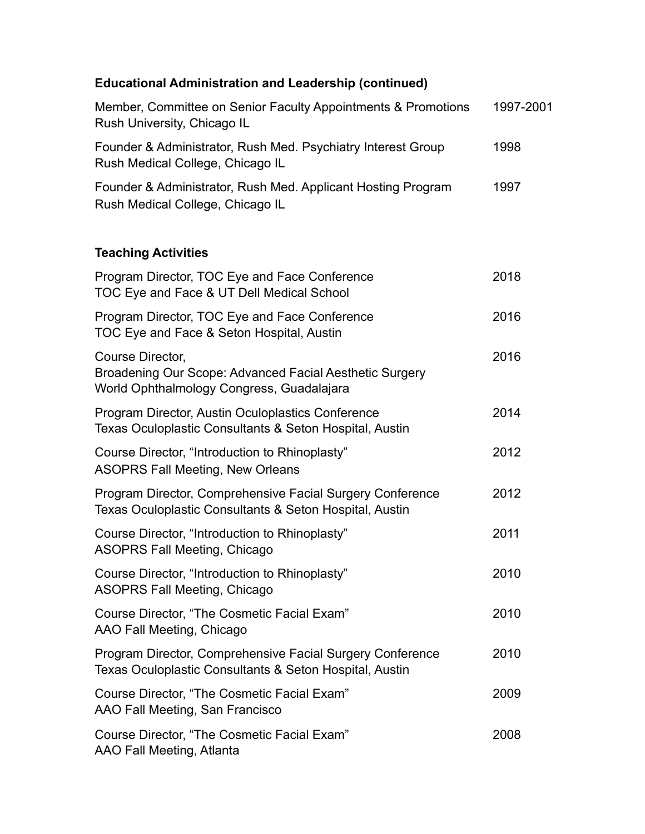# **Educational Administration and Leadership (continued)**

| Member, Committee on Senior Faculty Appointments & Promotions<br>Rush University, Chicago IL                             | 1997-2001 |
|--------------------------------------------------------------------------------------------------------------------------|-----------|
| Founder & Administrator, Rush Med. Psychiatry Interest Group<br>Rush Medical College, Chicago IL                         | 1998      |
| Founder & Administrator, Rush Med. Applicant Hosting Program<br>Rush Medical College, Chicago IL                         | 1997      |
| <b>Teaching Activities</b>                                                                                               |           |
| Program Director, TOC Eye and Face Conference<br>TOC Eye and Face & UT Dell Medical School                               | 2018      |
| Program Director, TOC Eye and Face Conference<br>TOC Eye and Face & Seton Hospital, Austin                               | 2016      |
| Course Director,<br>Broadening Our Scope: Advanced Facial Aesthetic Surgery<br>World Ophthalmology Congress, Guadalajara | 2016      |
| Program Director, Austin Oculoplastics Conference<br>Texas Oculoplastic Consultants & Seton Hospital, Austin             | 2014      |
| Course Director, "Introduction to Rhinoplasty"<br><b>ASOPRS Fall Meeting, New Orleans</b>                                | 2012      |
| Program Director, Comprehensive Facial Surgery Conference<br>Texas Oculoplastic Consultants & Seton Hospital, Austin     | 2012      |
| Course Director, "Introduction to Rhinoplasty"<br><b>ASOPRS Fall Meeting, Chicago</b>                                    | 2011      |
| Course Director, "Introduction to Rhinoplasty"<br><b>ASOPRS Fall Meeting, Chicago</b>                                    | 2010      |
| Course Director, "The Cosmetic Facial Exam"<br>AAO Fall Meeting, Chicago                                                 | 2010      |
| Program Director, Comprehensive Facial Surgery Conference<br>Texas Oculoplastic Consultants & Seton Hospital, Austin     | 2010      |
| Course Director, "The Cosmetic Facial Exam"<br>AAO Fall Meeting, San Francisco                                           | 2009      |
| Course Director, "The Cosmetic Facial Exam"<br>AAO Fall Meeting, Atlanta                                                 | 2008      |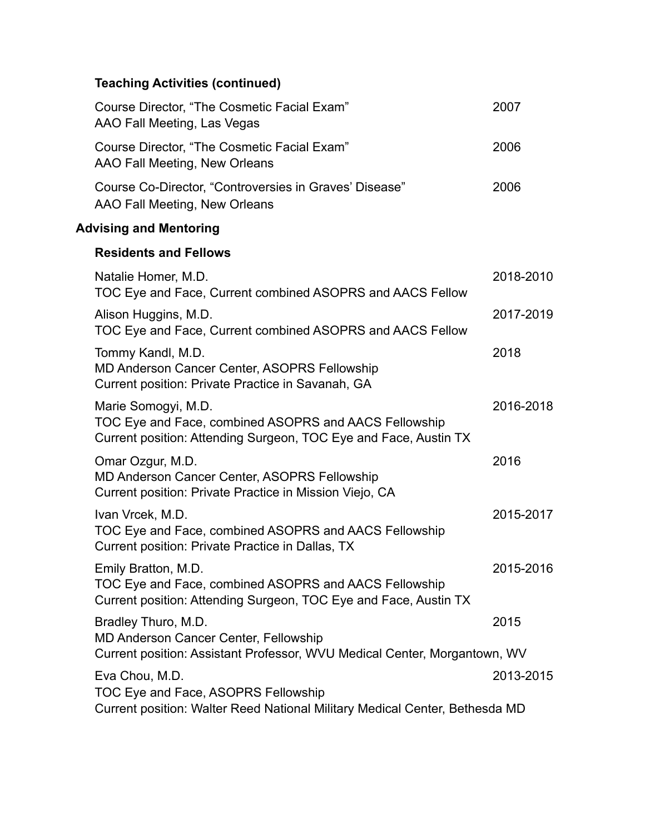## **Teaching Activities (continued)**

| Course Director, "The Cosmetic Facial Exam"<br>AAO Fall Meeting, Las Vegas                                                                       | 2007      |
|--------------------------------------------------------------------------------------------------------------------------------------------------|-----------|
| Course Director, "The Cosmetic Facial Exam"<br>AAO Fall Meeting, New Orleans                                                                     | 2006      |
| Course Co-Director, "Controversies in Graves' Disease"<br>AAO Fall Meeting, New Orleans                                                          | 2006      |
| <b>Advising and Mentoring</b>                                                                                                                    |           |
| <b>Residents and Fellows</b>                                                                                                                     |           |
| Natalie Homer, M.D.<br>TOC Eye and Face, Current combined ASOPRS and AACS Fellow                                                                 | 2018-2010 |
| Alison Huggins, M.D.<br>TOC Eye and Face, Current combined ASOPRS and AACS Fellow                                                                | 2017-2019 |
| Tommy Kandl, M.D.<br>MD Anderson Cancer Center, ASOPRS Fellowship<br>Current position: Private Practice in Savanah, GA                           | 2018      |
| Marie Somogyi, M.D.<br>TOC Eye and Face, combined ASOPRS and AACS Fellowship<br>Current position: Attending Surgeon, TOC Eye and Face, Austin TX | 2016-2018 |
| Omar Ozgur, M.D.<br>MD Anderson Cancer Center, ASOPRS Fellowship<br>Current position: Private Practice in Mission Viejo, CA                      | 2016      |
| Ivan Vrcek, M.D.<br>TOC Eye and Face, combined ASOPRS and AACS Fellowship<br>Current position: Private Practice in Dallas, TX                    | 2015-2017 |
| Emily Bratton, M.D.<br>TOC Eye and Face, combined ASOPRS and AACS Fellowship<br>Current position: Attending Surgeon, TOC Eye and Face, Austin TX | 2015-2016 |
| Bradley Thuro, M.D.<br>MD Anderson Cancer Center, Fellowship<br>Current position: Assistant Professor, WVU Medical Center, Morgantown, WV        | 2015      |
| Eva Chou, M.D.<br>TOC Eye and Face, ASOPRS Fellowship<br>Current position: Walter Reed National Military Medical Center, Bethesda MD             | 2013-2015 |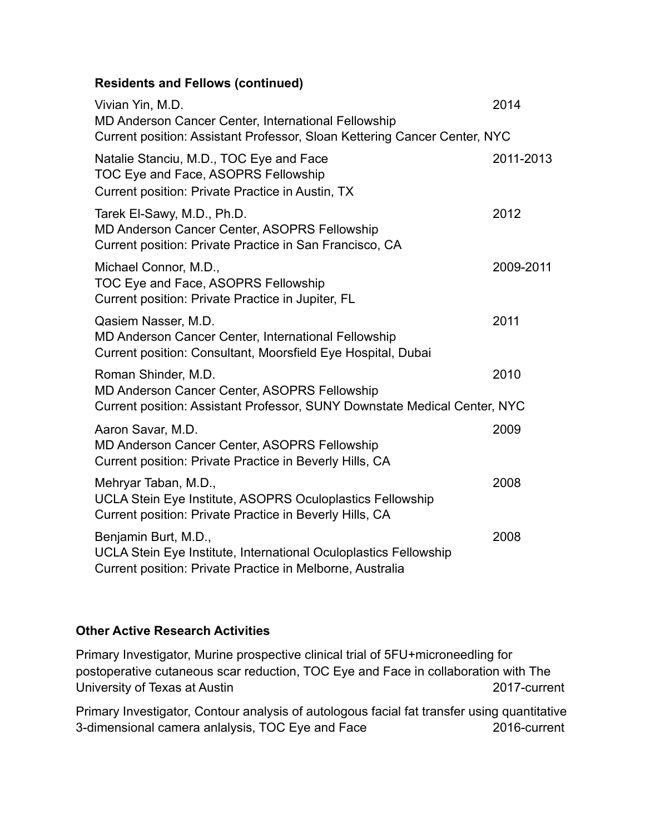## **Residents and Fellows (continued)**

| Vivian Yin, M.D.<br>MD Anderson Cancer Center, International Fellowship<br>Current position: Assistant Professor, Sloan Kettering Cancer Center, NYC  | 2014      |
|-------------------------------------------------------------------------------------------------------------------------------------------------------|-----------|
| Natalie Stanciu, M.D., TOC Eye and Face<br>TOC Eye and Face, ASOPRS Fellowship<br>Current position: Private Practice in Austin, TX                    | 2011-2013 |
| Tarek El-Sawy, M.D., Ph.D.<br>MD Anderson Cancer Center, ASOPRS Fellowship<br>Current position: Private Practice in San Francisco, CA                 | 2012      |
| Michael Connor, M.D.,<br>TOC Eye and Face, ASOPRS Fellowship<br>Current position: Private Practice in Jupiter, FL                                     | 2009-2011 |
| Qasiem Nasser, M.D.<br>MD Anderson Cancer Center, International Fellowship<br>Current position: Consultant, Moorsfield Eye Hospital, Dubai            | 2011      |
| Roman Shinder, M.D.<br>MD Anderson Cancer Center, ASOPRS Fellowship<br>Current position: Assistant Professor, SUNY Downstate Medical Center, NYC      | 2010      |
| Aaron Savar, M.D.<br>MD Anderson Cancer Center, ASOPRS Fellowship<br>Current position: Private Practice in Beverly Hills, CA                          | 2009      |
| Mehryar Taban, M.D.,<br>UCLA Stein Eye Institute, ASOPRS Oculoplastics Fellowship<br>Current position: Private Practice in Beverly Hills, CA          | 2008      |
| Benjamin Burt, M.D.,<br>UCLA Stein Eye Institute, International Oculoplastics Fellowship<br>Current position: Private Practice in Melborne, Australia | 2008      |

## **Other Active Research Activities**

Primary Investigator, Murine prospective clinical trial of 5FU+microneedling for postoperative cutaneous scar reduction, TOC Eye and Face in collaboration with The University of Texas at Austin 2017-current

Primary Investigator, Contour analysis of autologous facial fat transfer using quantitative 3-dimensional camera anlalysis, TOC Eye and Face 2016-current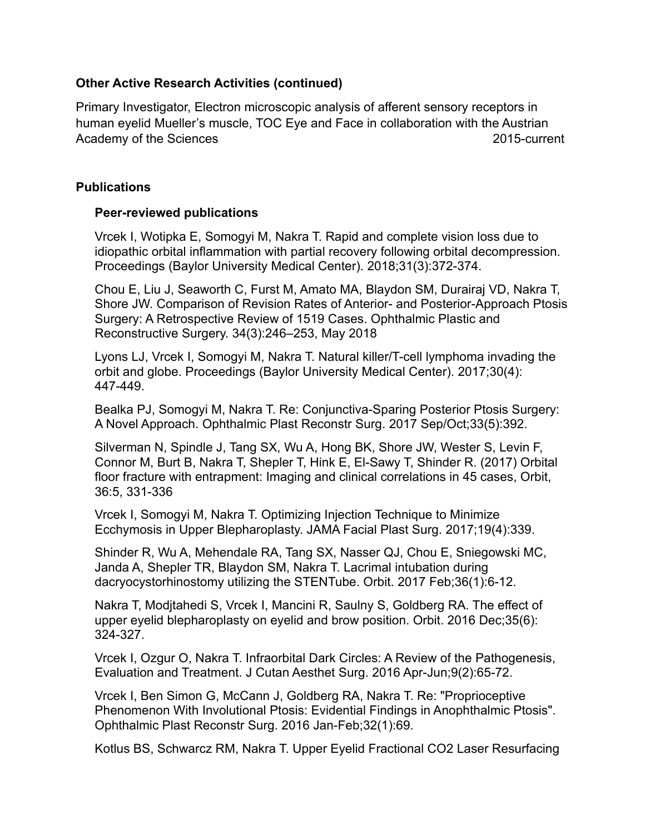#### **Other Active Research Activities (continued)**

Primary Investigator, Electron microscopic analysis of afferent sensory receptors in human eyelid Mueller's muscle, TOC Eye and Face in collaboration with the Austrian Academy of the Sciences 2015-current

#### **Publications**

#### **Peer-reviewed publications**

Vrcek I, Wotipka E, Somogyi M, Nakra T. Rapid and complete vision loss due to idiopathic orbital inflammation with partial recovery following orbital decompression. Proceedings (Baylor University Medical Center). 2018;31(3):372-374.

Chou E, Liu J, Seaworth C, Furst M, Amato MA, Blaydon SM, Durairaj VD, Nakra T, Shore JW. Comparison of Revision Rates of Anterior- and Posterior-Approach Ptosis Surgery: A Retrospective Review of 1519 Cases. Ophthalmic Plastic and Reconstructive Surgery. 34(3):246–253, May 2018

Lyons LJ, Vrcek I, Somogyi M, Nakra T. Natural killer/T-cell lymphoma invading the orbit and globe. Proceedings (Baylor University Medical Center). 2017;30(4): 447-449.

Bealka PJ, Somogyi M, Nakra T. Re: Conjunctiva-Sparing Posterior Ptosis Surgery: A Novel Approach. Ophthalmic Plast Reconstr Surg. 2017 Sep/Oct;33(5):392.

Silverman N, Spindle J, Tang SX, Wu A, Hong BK, Shore JW, Wester S, Levin F, Connor M, Burt B, Nakra T, Shepler T, Hink E, El-Sawy T, Shinder R. (2017) Orbital floor fracture with entrapment: Imaging and clinical correlations in 45 cases, Orbit, 36:5, 331-336

Vrcek I, Somogyi M, Nakra T. Optimizing Injection Technique to Minimize Ecchymosis in Upper Blepharoplasty. JAMA Facial Plast Surg. 2017;19(4):339.

Shinder R, Wu A, Mehendale RA, Tang SX, Nasser QJ, Chou E, Sniegowski MC, Janda A, Shepler TR, Blaydon SM, Nakra T. Lacrimal intubation during dacryocystorhinostomy utilizing the STENTube. Orbit. 2017 Feb;36(1):6-12.

Nakra T, Modjtahedi S, Vrcek I, Mancini R, Saulny S, Goldberg RA. The effect of upper eyelid blepharoplasty on eyelid and brow position. Orbit. 2016 Dec;35(6): 324-327.

Vrcek I, Ozgur O, Nakra T. Infraorbital Dark Circles: A Review of the Pathogenesis, Evaluation and Treatment. J Cutan Aesthet Surg. 2016 Apr-Jun;9(2):65-72.

Vrcek I, Ben Simon G, McCann J, Goldberg RA, Nakra T. Re: "Proprioceptive Phenomenon With Involutional Ptosis: Evidential Findings in Anophthalmic Ptosis". Ophthalmic Plast Reconstr Surg. 2016 Jan-Feb;32(1):69.

Kotlus BS, Schwarcz RM, Nakra T. Upper Eyelid Fractional CO2 Laser Resurfacing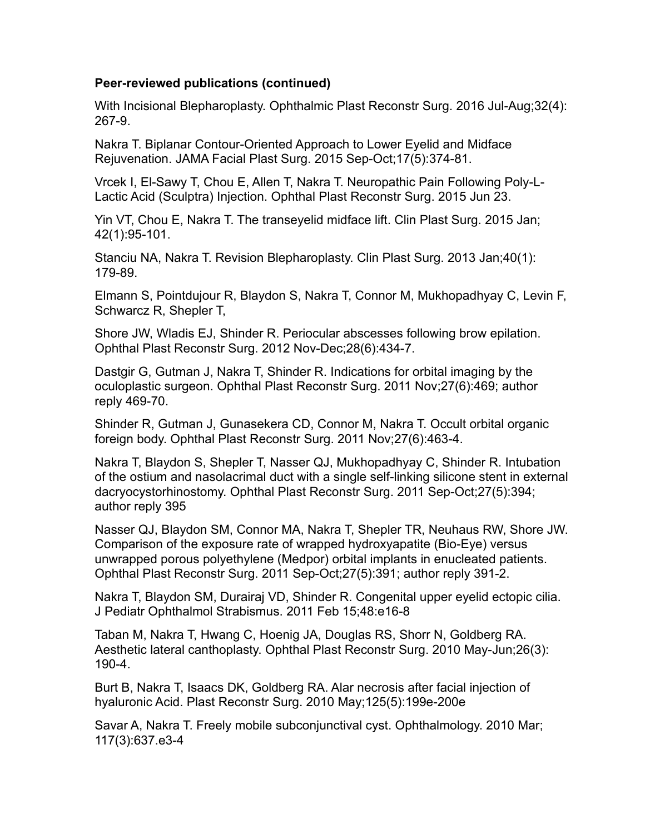#### **Peer-reviewed publications (continued)**

With Incisional Blepharoplasty. Ophthalmic Plast Reconstr Surg. 2016 Jul-Aug;32(4): 267-9.

Nakra T. Biplanar Contour-Oriented Approach to Lower Eyelid and Midface Rejuvenation. JAMA Facial Plast Surg. 2015 Sep-Oct;17(5):374-81.

Vrcek I, El-Sawy T, Chou E, Allen T, Nakra T. Neuropathic Pain Following Poly-L-Lactic Acid (Sculptra) Injection. Ophthal Plast Reconstr Surg. 2015 Jun 23.

Yin VT, Chou E, Nakra T. The transeyelid midface lift. Clin Plast Surg. 2015 Jan; 42(1):95-101.

Stanciu NA, Nakra T. Revision Blepharoplasty. Clin Plast Surg. 2013 Jan;40(1): 179-89.

Elmann S, Pointdujour R, Blaydon S, Nakra T, Connor M, Mukhopadhyay C, Levin F, Schwarcz R, Shepler T,

Shore JW, Wladis EJ, Shinder R. Periocular abscesses following brow epilation. Ophthal Plast Reconstr Surg. 2012 Nov-Dec;28(6):434-7.

Dastgir G, Gutman J, Nakra T, Shinder R. Indications for orbital imaging by the oculoplastic surgeon. Ophthal Plast Reconstr Surg. 2011 Nov;27(6):469; author reply 469-70.

Shinder R, Gutman J, Gunasekera CD, Connor M, Nakra T. Occult orbital organic foreign body. Ophthal Plast Reconstr Surg. 2011 Nov;27(6):463-4.

Nakra T, Blaydon S, Shepler T, Nasser QJ, Mukhopadhyay C, Shinder R. Intubation of the ostium and nasolacrimal duct with a single self-linking silicone stent in external dacryocystorhinostomy. Ophthal Plast Reconstr Surg. 2011 Sep-Oct;27(5):394; author reply 395

Nasser QJ, Blaydon SM, Connor MA, Nakra T, Shepler TR, Neuhaus RW, Shore JW. Comparison of the exposure rate of wrapped hydroxyapatite (Bio-Eye) versus unwrapped porous polyethylene (Medpor) orbital implants in enucleated patients. Ophthal Plast Reconstr Surg. 2011 Sep-Oct;27(5):391; author reply 391-2.

Nakra T, Blaydon SM, Durairaj VD, Shinder R. Congenital upper eyelid ectopic cilia. J Pediatr Ophthalmol Strabismus. 2011 Feb 15;48:e16-8

Taban M, Nakra T, Hwang C, Hoenig JA, Douglas RS, Shorr N, Goldberg RA. Aesthetic lateral canthoplasty. Ophthal Plast Reconstr Surg. 2010 May-Jun;26(3): 190-4.

Burt B, Nakra T, Isaacs DK, Goldberg RA. Alar necrosis after facial injection of hyaluronic Acid. Plast Reconstr Surg. 2010 May;125(5):199e-200e

Savar A, Nakra T. Freely mobile subconjunctival cyst. Ophthalmology. 2010 Mar; 117(3):637.e3-4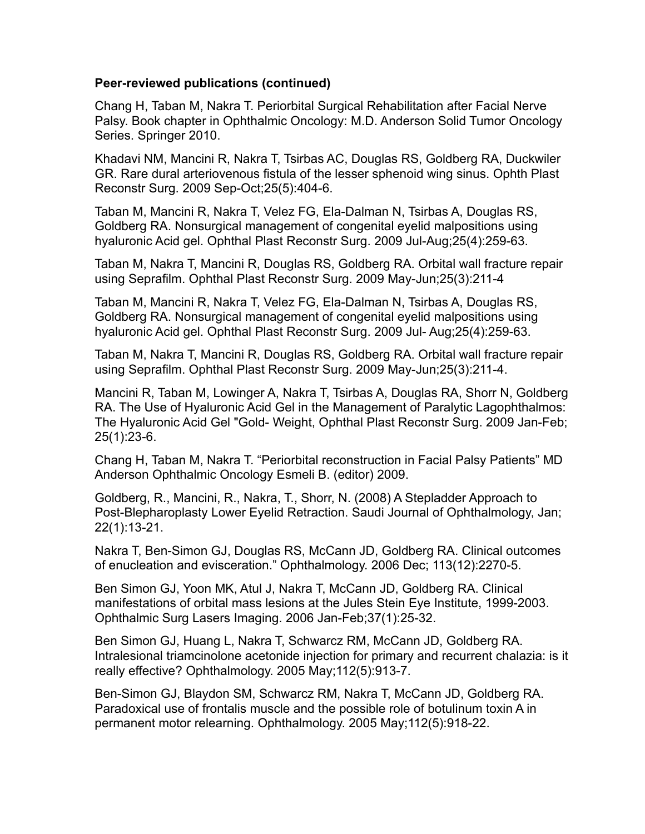#### **Peer-reviewed publications (continued)**

Chang H, Taban M, Nakra T. Periorbital Surgical Rehabilitation after Facial Nerve Palsy. Book chapter in Ophthalmic Oncology: M.D. Anderson Solid Tumor Oncology Series. Springer 2010.

Khadavi NM, Mancini R, Nakra T, Tsirbas AC, Douglas RS, Goldberg RA, Duckwiler GR. Rare dural arteriovenous fistula of the lesser sphenoid wing sinus. Ophth Plast Reconstr Surg. 2009 Sep-Oct;25(5):404-6.

Taban M, Mancini R, Nakra T, Velez FG, Ela-Dalman N, Tsirbas A, Douglas RS, Goldberg RA. Nonsurgical management of congenital eyelid malpositions using hyaluronic Acid gel. Ophthal Plast Reconstr Surg. 2009 Jul-Aug;25(4):259-63.

Taban M, Nakra T, Mancini R, Douglas RS, Goldberg RA. Orbital wall fracture repair using Seprafilm. Ophthal Plast Reconstr Surg. 2009 May-Jun;25(3):211-4

Taban M, Mancini R, Nakra T, Velez FG, Ela-Dalman N, Tsirbas A, Douglas RS, Goldberg RA. Nonsurgical management of congenital eyelid malpositions using hyaluronic Acid gel. Ophthal Plast Reconstr Surg. 2009 Jul- Aug;25(4):259-63.

Taban M, Nakra T, Mancini R, Douglas RS, Goldberg RA. Orbital wall fracture repair using Seprafilm. Ophthal Plast Reconstr Surg. 2009 May-Jun;25(3):211-4.

Mancini R, Taban M, Lowinger A, Nakra T, Tsirbas A, Douglas RA, Shorr N, Goldberg RA. The Use of Hyaluronic Acid Gel in the Management of Paralytic Lagophthalmos: The Hyaluronic Acid Gel "Gold- Weight, Ophthal Plast Reconstr Surg. 2009 Jan-Feb; 25(1):23-6.

Chang H, Taban M, Nakra T. "Periorbital reconstruction in Facial Palsy Patients" MD Anderson Ophthalmic Oncology Esmeli B. (editor) 2009.

Goldberg, R., Mancini, R., Nakra, T., Shorr, N. (2008) A Stepladder Approach to Post-Blepharoplasty Lower Eyelid Retraction. Saudi Journal of Ophthalmology, Jan; 22(1):13-21.

Nakra T, Ben-Simon GJ, Douglas RS, McCann JD, Goldberg RA. Clinical outcomes of enucleation and evisceration." Ophthalmology. 2006 Dec; 113(12):2270-5.

Ben Simon GJ, Yoon MK, Atul J, Nakra T, McCann JD, Goldberg RA. Clinical manifestations of orbital mass lesions at the Jules Stein Eye Institute, 1999-2003. Ophthalmic Surg Lasers Imaging. 2006 Jan-Feb;37(1):25-32.

Ben Simon GJ, Huang L, Nakra T, Schwarcz RM, McCann JD, Goldberg RA. Intralesional triamcinolone acetonide injection for primary and recurrent chalazia: is it really effective? Ophthalmology. 2005 May;112(5):913-7.

Ben-Simon GJ, Blaydon SM, Schwarcz RM, Nakra T, McCann JD, Goldberg RA. Paradoxical use of frontalis muscle and the possible role of botulinum toxin A in permanent motor relearning. Ophthalmology. 2005 May;112(5):918-22.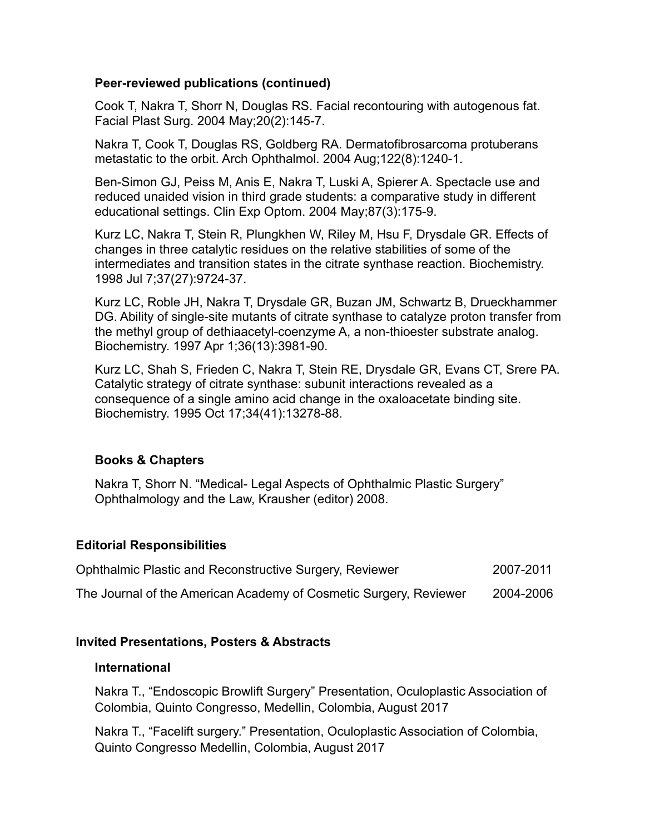#### **Peer-reviewed publications (continued)**

Cook T, Nakra T, Shorr N, Douglas RS. Facial recontouring with autogenous fat. Facial Plast Surg. 2004 May;20(2):145-7.

Nakra T, Cook T, Douglas RS, Goldberg RA. Dermatofibrosarcoma protuberans metastatic to the orbit. Arch Ophthalmol. 2004 Aug;122(8):1240-1.

Ben-Simon GJ, Peiss M, Anis E, Nakra T, Luski A, Spierer A. Spectacle use and reduced unaided vision in third grade students: a comparative study in different educational settings. Clin Exp Optom. 2004 May;87(3):175-9.

Kurz LC, Nakra T, Stein R, Plungkhen W, Riley M, Hsu F, Drysdale GR. Effects of changes in three catalytic residues on the relative stabilities of some of the intermediates and transition states in the citrate synthase reaction. Biochemistry. 1998 Jul 7;37(27):9724-37.

Kurz LC, Roble JH, Nakra T, Drysdale GR, Buzan JM, Schwartz B, Drueckhammer DG. Ability of single-site mutants of citrate synthase to catalyze proton transfer from the methyl group of dethiaacetyl-coenzyme A, a non-thioester substrate analog. Biochemistry. 1997 Apr 1;36(13):3981-90.

Kurz LC, Shah S, Frieden C, Nakra T, Stein RE, Drysdale GR, Evans CT, Srere PA. Catalytic strategy of citrate synthase: subunit interactions revealed as a consequence of a single amino acid change in the oxaloacetate binding site. Biochemistry. 1995 Oct 17;34(41):13278-88.

## **Books & Chapters**

Nakra T, Shorr N. "Medical- Legal Aspects of Ophthalmic Plastic Surgery" Ophthalmology and the Law, Krausher (editor) 2008.

## **Editorial Responsibilities**

| Ophthalmic Plastic and Reconstructive Surgery, Reviewer           | 2007-2011 |
|-------------------------------------------------------------------|-----------|
| The Journal of the American Academy of Cosmetic Surgery, Reviewer | 2004-2006 |

## **Invited Presentations, Posters & Abstracts**

## **International**

Nakra T., "Endoscopic Browlift Surgery" Presentation, Oculoplastic Association of Colombia, Quinto Congresso, Medellin, Colombia, August 2017

Nakra T., "Facelift surgery." Presentation, Oculoplastic Association of Colombia, Quinto Congresso Medellin, Colombia, August 2017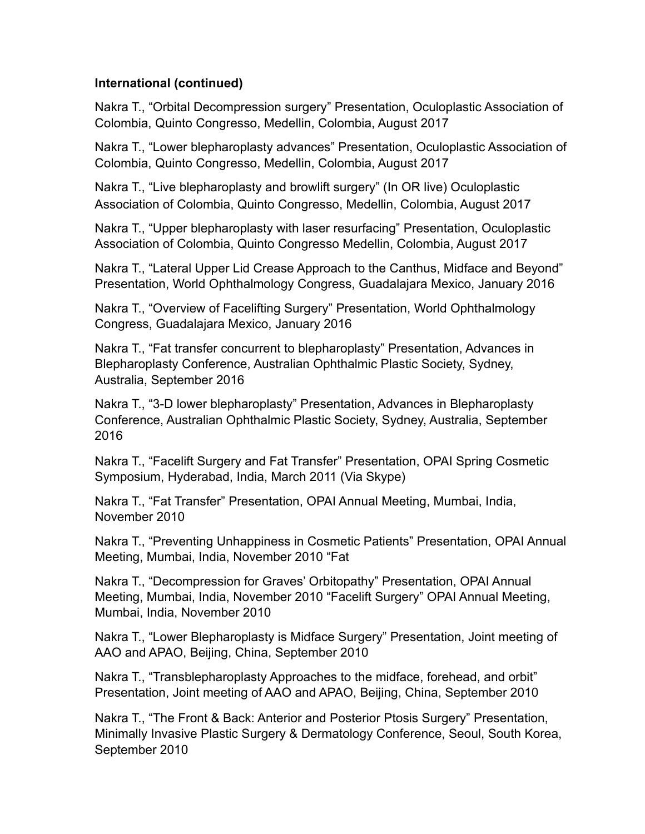#### **International (continued)**

Nakra T., "Orbital Decompression surgery" Presentation, Oculoplastic Association of Colombia, Quinto Congresso, Medellin, Colombia, August 2017

Nakra T., "Lower blepharoplasty advances" Presentation, Oculoplastic Association of Colombia, Quinto Congresso, Medellin, Colombia, August 2017

Nakra T., "Live blepharoplasty and browlift surgery" (In OR live) Oculoplastic Association of Colombia, Quinto Congresso, Medellin, Colombia, August 2017

Nakra T., "Upper blepharoplasty with laser resurfacing" Presentation, Oculoplastic Association of Colombia, Quinto Congresso Medellin, Colombia, August 2017

Nakra T., "Lateral Upper Lid Crease Approach to the Canthus, Midface and Beyond" Presentation, World Ophthalmology Congress, Guadalajara Mexico, January 2016

Nakra T., "Overview of Facelifting Surgery" Presentation, World Ophthalmology Congress, Guadalajara Mexico, January 2016

Nakra T., "Fat transfer concurrent to blepharoplasty" Presentation, Advances in Blepharoplasty Conference, Australian Ophthalmic Plastic Society, Sydney, Australia, September 2016

Nakra T., "3-D lower blepharoplasty" Presentation, Advances in Blepharoplasty Conference, Australian Ophthalmic Plastic Society, Sydney, Australia, September 2016

Nakra T., "Facelift Surgery and Fat Transfer" Presentation, OPAI Spring Cosmetic Symposium, Hyderabad, India, March 2011 (Via Skype)

Nakra T., "Fat Transfer" Presentation, OPAI Annual Meeting, Mumbai, India, November 2010

Nakra T., "Preventing Unhappiness in Cosmetic Patients" Presentation, OPAI Annual Meeting, Mumbai, India, November 2010 "Fat

Nakra T., "Decompression for Graves' Orbitopathy" Presentation, OPAI Annual Meeting, Mumbai, India, November 2010 "Facelift Surgery" OPAI Annual Meeting, Mumbai, India, November 2010

Nakra T., "Lower Blepharoplasty is Midface Surgery" Presentation, Joint meeting of AAO and APAO, Beijing, China, September 2010

Nakra T., "Transblepharoplasty Approaches to the midface, forehead, and orbit" Presentation, Joint meeting of AAO and APAO, Beijing, China, September 2010

Nakra T., "The Front & Back: Anterior and Posterior Ptosis Surgery" Presentation, Minimally Invasive Plastic Surgery & Dermatology Conference, Seoul, South Korea, September 2010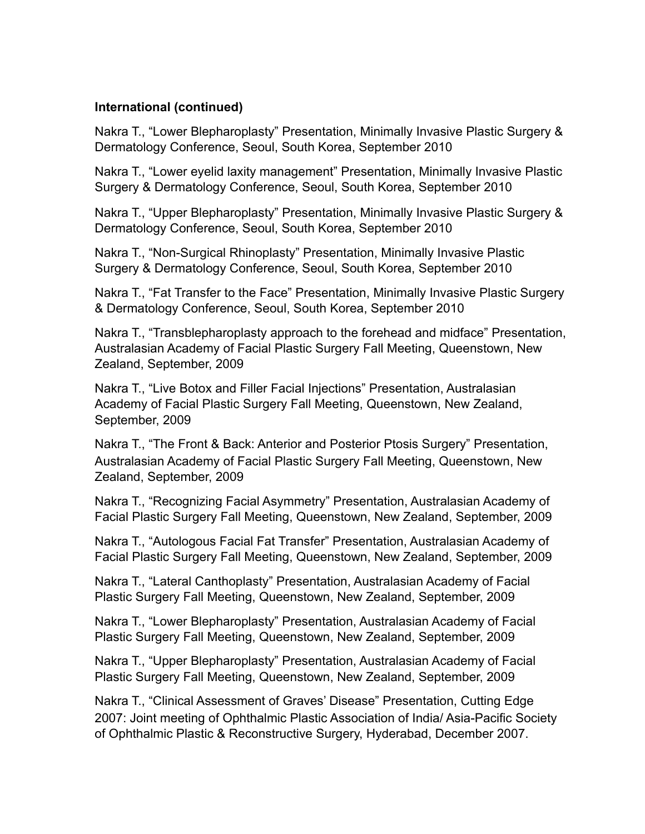#### **International (continued)**

Nakra T., "Lower Blepharoplasty" Presentation, Minimally Invasive Plastic Surgery & Dermatology Conference, Seoul, South Korea, September 2010

Nakra T., "Lower eyelid laxity management" Presentation, Minimally Invasive Plastic Surgery & Dermatology Conference, Seoul, South Korea, September 2010

Nakra T., "Upper Blepharoplasty" Presentation, Minimally Invasive Plastic Surgery & Dermatology Conference, Seoul, South Korea, September 2010

Nakra T., "Non-Surgical Rhinoplasty" Presentation, Minimally Invasive Plastic Surgery & Dermatology Conference, Seoul, South Korea, September 2010

Nakra T., "Fat Transfer to the Face" Presentation, Minimally Invasive Plastic Surgery & Dermatology Conference, Seoul, South Korea, September 2010

Nakra T., "Transblepharoplasty approach to the forehead and midface" Presentation, Australasian Academy of Facial Plastic Surgery Fall Meeting, Queenstown, New Zealand, September, 2009

Nakra T., "Live Botox and Filler Facial Injections" Presentation, Australasian Academy of Facial Plastic Surgery Fall Meeting, Queenstown, New Zealand, September, 2009

Nakra T., "The Front & Back: Anterior and Posterior Ptosis Surgery" Presentation, Australasian Academy of Facial Plastic Surgery Fall Meeting, Queenstown, New Zealand, September, 2009

Nakra T., "Recognizing Facial Asymmetry" Presentation, Australasian Academy of Facial Plastic Surgery Fall Meeting, Queenstown, New Zealand, September, 2009

Nakra T., "Autologous Facial Fat Transfer" Presentation, Australasian Academy of Facial Plastic Surgery Fall Meeting, Queenstown, New Zealand, September, 2009

Nakra T., "Lateral Canthoplasty" Presentation, Australasian Academy of Facial Plastic Surgery Fall Meeting, Queenstown, New Zealand, September, 2009

Nakra T., "Lower Blepharoplasty" Presentation, Australasian Academy of Facial Plastic Surgery Fall Meeting, Queenstown, New Zealand, September, 2009

Nakra T., "Upper Blepharoplasty" Presentation, Australasian Academy of Facial Plastic Surgery Fall Meeting, Queenstown, New Zealand, September, 2009

Nakra T., "Clinical Assessment of Graves' Disease" Presentation, Cutting Edge 2007: Joint meeting of Ophthalmic Plastic Association of India/ Asia-Pacific Society of Ophthalmic Plastic & Reconstructive Surgery, Hyderabad, December 2007.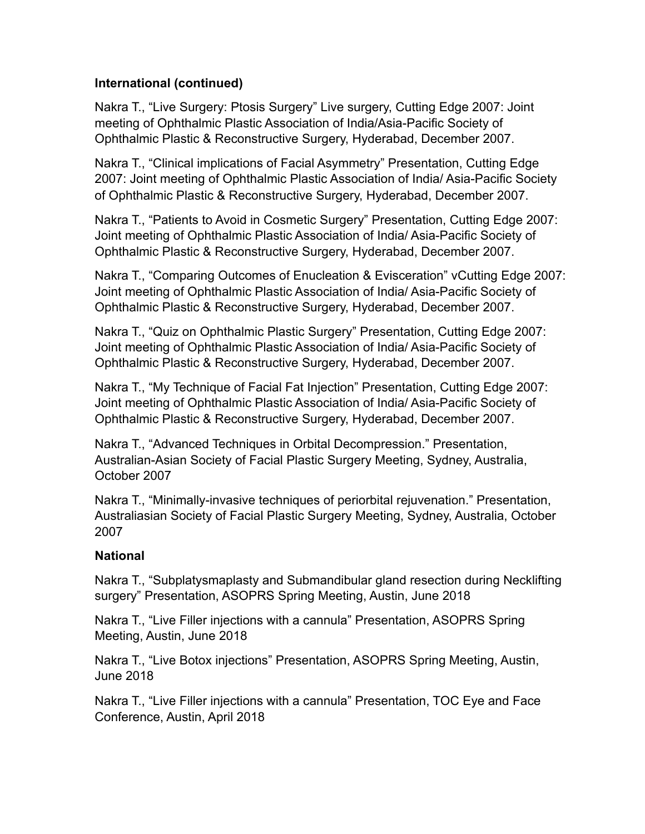## **International (continued)**

Nakra T., "Live Surgery: Ptosis Surgery" Live surgery, Cutting Edge 2007: Joint meeting of Ophthalmic Plastic Association of India/Asia-Pacific Society of Ophthalmic Plastic & Reconstructive Surgery, Hyderabad, December 2007.

Nakra T., "Clinical implications of Facial Asymmetry" Presentation, Cutting Edge 2007: Joint meeting of Ophthalmic Plastic Association of India/ Asia-Pacific Society of Ophthalmic Plastic & Reconstructive Surgery, Hyderabad, December 2007.

Nakra T., "Patients to Avoid in Cosmetic Surgery" Presentation, Cutting Edge 2007: Joint meeting of Ophthalmic Plastic Association of India/ Asia-Pacific Society of Ophthalmic Plastic & Reconstructive Surgery, Hyderabad, December 2007.

Nakra T., "Comparing Outcomes of Enucleation & Evisceration" vCutting Edge 2007: Joint meeting of Ophthalmic Plastic Association of India/ Asia-Pacific Society of Ophthalmic Plastic & Reconstructive Surgery, Hyderabad, December 2007.

Nakra T., "Quiz on Ophthalmic Plastic Surgery" Presentation, Cutting Edge 2007: Joint meeting of Ophthalmic Plastic Association of India/ Asia-Pacific Society of Ophthalmic Plastic & Reconstructive Surgery, Hyderabad, December 2007.

Nakra T., "My Technique of Facial Fat Injection" Presentation, Cutting Edge 2007: Joint meeting of Ophthalmic Plastic Association of India/ Asia-Pacific Society of Ophthalmic Plastic & Reconstructive Surgery, Hyderabad, December 2007.

Nakra T., "Advanced Techniques in Orbital Decompression." Presentation, Australian-Asian Society of Facial Plastic Surgery Meeting, Sydney, Australia, October 2007

Nakra T., "Minimally-invasive techniques of periorbital rejuvenation." Presentation, Australiasian Society of Facial Plastic Surgery Meeting, Sydney, Australia, October 2007

## **National**

Nakra T., "Subplatysmaplasty and Submandibular gland resection during Necklifting surgery" Presentation, ASOPRS Spring Meeting, Austin, June 2018

Nakra T., "Live Filler injections with a cannula" Presentation, ASOPRS Spring Meeting, Austin, June 2018

Nakra T., "Live Botox injections" Presentation, ASOPRS Spring Meeting, Austin, June 2018

Nakra T., "Live Filler injections with a cannula" Presentation, TOC Eye and Face Conference, Austin, April 2018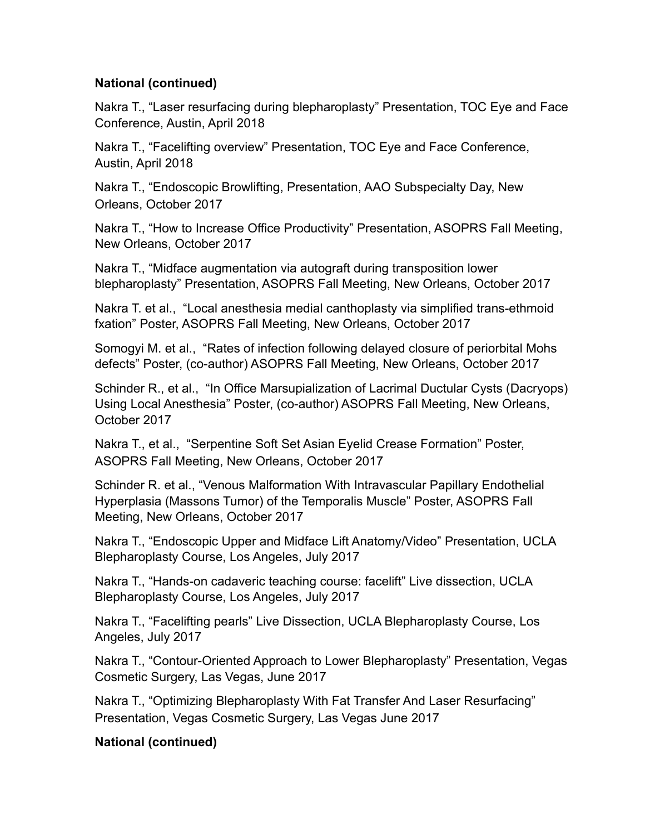Nakra T., "Laser resurfacing during blepharoplasty" Presentation, TOC Eye and Face Conference, Austin, April 2018

Nakra T., "Facelifting overview" Presentation, TOC Eye and Face Conference, Austin, April 2018

Nakra T., "Endoscopic Browlifting, Presentation, AAO Subspecialty Day, New Orleans, October 2017

Nakra T., "How to Increase Office Productivity" Presentation, ASOPRS Fall Meeting, New Orleans, October 2017

Nakra T., "Midface augmentation via autograft during transposition lower blepharoplasty" Presentation, ASOPRS Fall Meeting, New Orleans, October 2017

Nakra T. et al., "Local anesthesia medial canthoplasty via simplified trans-ethmoid fxation" Poster, ASOPRS Fall Meeting, New Orleans, October 2017

Somogyi M. et al., "Rates of infection following delayed closure of periorbital Mohs defects" Poster, (co-author) ASOPRS Fall Meeting, New Orleans, October 2017

Schinder R., et al., "In Office Marsupialization of Lacrimal Ductular Cysts (Dacryops) Using Local Anesthesia" Poster, (co-author) ASOPRS Fall Meeting, New Orleans, October 2017

Nakra T., et al., "Serpentine Soft Set Asian Eyelid Crease Formation" Poster, ASOPRS Fall Meeting, New Orleans, October 2017

Schinder R. et al., "Venous Malformation With Intravascular Papillary Endothelial Hyperplasia (Massons Tumor) of the Temporalis Muscle" Poster, ASOPRS Fall Meeting, New Orleans, October 2017

Nakra T., "Endoscopic Upper and Midface Lift Anatomy/Video" Presentation, UCLA Blepharoplasty Course, Los Angeles, July 2017

Nakra T., "Hands-on cadaveric teaching course: facelift" Live dissection, UCLA Blepharoplasty Course, Los Angeles, July 2017

Nakra T., "Facelifting pearls" Live Dissection, UCLA Blepharoplasty Course, Los Angeles, July 2017

Nakra T., "Contour-Oriented Approach to Lower Blepharoplasty" Presentation, Vegas Cosmetic Surgery, Las Vegas, June 2017

Nakra T., "Optimizing Blepharoplasty With Fat Transfer And Laser Resurfacing" Presentation, Vegas Cosmetic Surgery, Las Vegas June 2017

## **National (continued)**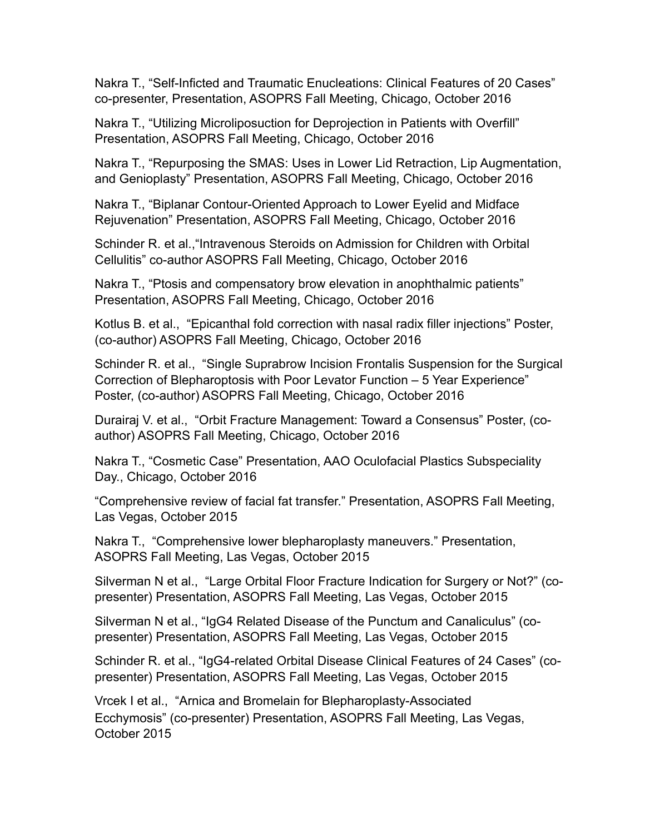Nakra T., "Self-Inficted and Traumatic Enucleations: Clinical Features of 20 Cases" co-presenter, Presentation, ASOPRS Fall Meeting, Chicago, October 2016

Nakra T., "Utilizing Microliposuction for Deprojection in Patients with Overfill" Presentation, ASOPRS Fall Meeting, Chicago, October 2016

Nakra T., "Repurposing the SMAS: Uses in Lower Lid Retraction, Lip Augmentation, and Genioplasty" Presentation, ASOPRS Fall Meeting, Chicago, October 2016

Nakra T., "Biplanar Contour-Oriented Approach to Lower Eyelid and Midface Rejuvenation" Presentation, ASOPRS Fall Meeting, Chicago, October 2016

Schinder R. et al.,"Intravenous Steroids on Admission for Children with Orbital Cellulitis" co-author ASOPRS Fall Meeting, Chicago, October 2016

Nakra T., "Ptosis and compensatory brow elevation in anophthalmic patients" Presentation, ASOPRS Fall Meeting, Chicago, October 2016

Kotlus B. et al., "Epicanthal fold correction with nasal radix filler injections" Poster, (co-author) ASOPRS Fall Meeting, Chicago, October 2016

Schinder R. et al., "Single Suprabrow Incision Frontalis Suspension for the Surgical Correction of Blepharoptosis with Poor Levator Function – 5 Year Experience" Poster, (co-author) ASOPRS Fall Meeting, Chicago, October 2016

Durairaj V. et al., "Orbit Fracture Management: Toward a Consensus" Poster, (coauthor) ASOPRS Fall Meeting, Chicago, October 2016

Nakra T., "Cosmetic Case" Presentation, AAO Oculofacial Plastics Subspeciality Day., Chicago, October 2016

"Comprehensive review of facial fat transfer." Presentation, ASOPRS Fall Meeting, Las Vegas, October 2015

Nakra T., "Comprehensive lower blepharoplasty maneuvers." Presentation, ASOPRS Fall Meeting, Las Vegas, October 2015

Silverman N et al., "Large Orbital Floor Fracture Indication for Surgery or Not?" (copresenter) Presentation, ASOPRS Fall Meeting, Las Vegas, October 2015

Silverman N et al., "IgG4 Related Disease of the Punctum and Canaliculus" (copresenter) Presentation, ASOPRS Fall Meeting, Las Vegas, October 2015

Schinder R. et al., "IgG4-related Orbital Disease Clinical Features of 24 Cases" (copresenter) Presentation, ASOPRS Fall Meeting, Las Vegas, October 2015

Vrcek I et al., "Arnica and Bromelain for Blepharoplasty-Associated Ecchymosis" (co-presenter) Presentation, ASOPRS Fall Meeting, Las Vegas, October 2015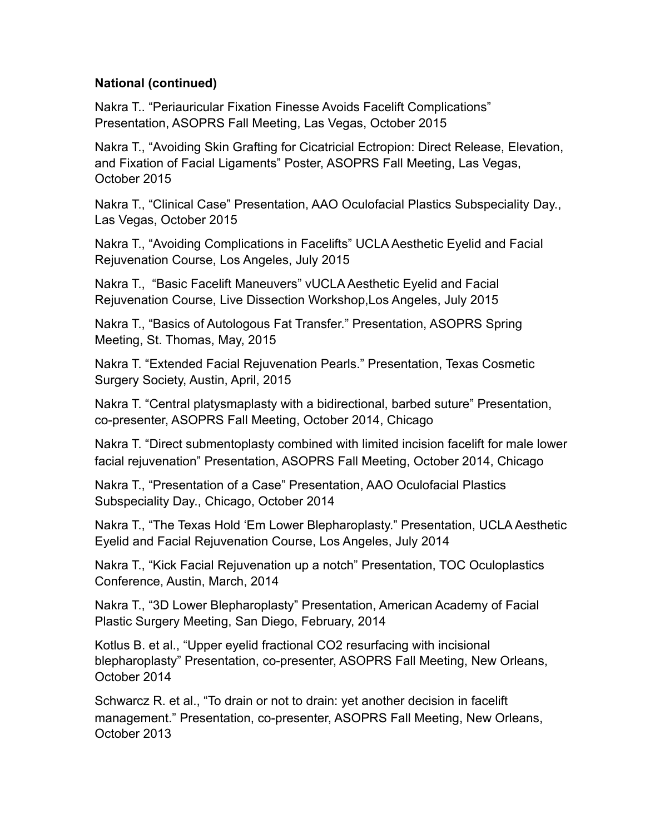Nakra T.. "Periauricular Fixation Finesse Avoids Facelift Complications" Presentation, ASOPRS Fall Meeting, Las Vegas, October 2015

Nakra T., "Avoiding Skin Grafting for Cicatricial Ectropion: Direct Release, Elevation, and Fixation of Facial Ligaments" Poster, ASOPRS Fall Meeting, Las Vegas, October 2015

Nakra T., "Clinical Case" Presentation, AAO Oculofacial Plastics Subspeciality Day., Las Vegas, October 2015

Nakra T., "Avoiding Complications in Facelifts" UCLA Aesthetic Eyelid and Facial Rejuvenation Course, Los Angeles, July 2015

Nakra T., "Basic Facelift Maneuvers" vUCLA Aesthetic Eyelid and Facial Rejuvenation Course, Live Dissection Workshop,Los Angeles, July 2015

Nakra T., "Basics of Autologous Fat Transfer." Presentation, ASOPRS Spring Meeting, St. Thomas, May, 2015

Nakra T. "Extended Facial Rejuvenation Pearls." Presentation, Texas Cosmetic Surgery Society, Austin, April, 2015

Nakra T. "Central platysmaplasty with a bidirectional, barbed suture" Presentation, co-presenter, ASOPRS Fall Meeting, October 2014, Chicago

Nakra T. "Direct submentoplasty combined with limited incision facelift for male lower facial rejuvenation" Presentation, ASOPRS Fall Meeting, October 2014, Chicago

Nakra T., "Presentation of a Case" Presentation, AAO Oculofacial Plastics Subspeciality Day., Chicago, October 2014

Nakra T., "The Texas Hold 'Em Lower Blepharoplasty." Presentation, UCLA Aesthetic Eyelid and Facial Rejuvenation Course, Los Angeles, July 2014

Nakra T., "Kick Facial Rejuvenation up a notch" Presentation, TOC Oculoplastics Conference, Austin, March, 2014

Nakra T., "3D Lower Blepharoplasty" Presentation, American Academy of Facial Plastic Surgery Meeting, San Diego, February, 2014

Kotlus B. et al., "Upper eyelid fractional CO2 resurfacing with incisional blepharoplasty" Presentation, co-presenter, ASOPRS Fall Meeting, New Orleans, October 2014

Schwarcz R. et al., "To drain or not to drain: yet another decision in facelift management." Presentation, co-presenter, ASOPRS Fall Meeting, New Orleans, October 2013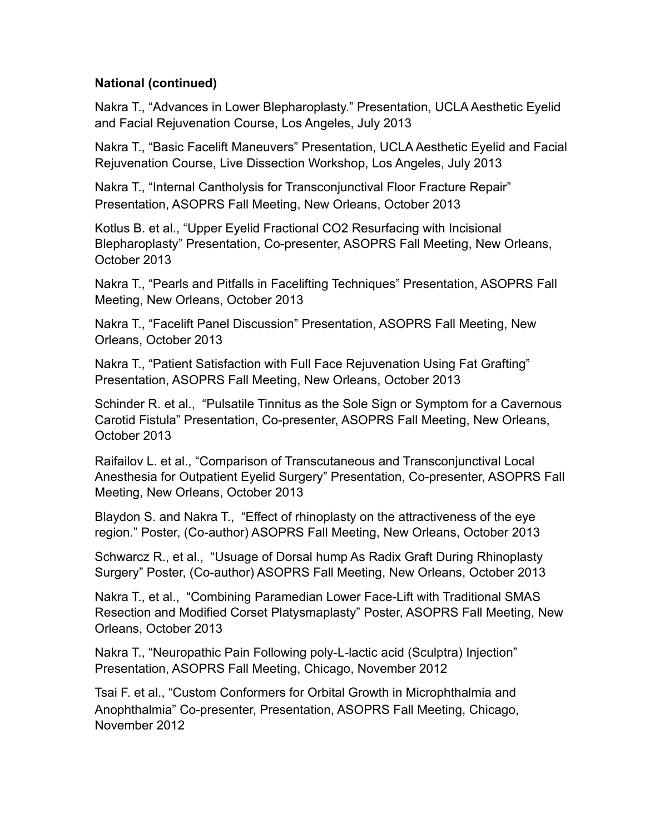Nakra T., "Advances in Lower Blepharoplasty." Presentation, UCLA Aesthetic Eyelid and Facial Rejuvenation Course, Los Angeles, July 2013

Nakra T., "Basic Facelift Maneuvers" Presentation, UCLA Aesthetic Eyelid and Facial Rejuvenation Course, Live Dissection Workshop, Los Angeles, July 2013

Nakra T., "Internal Cantholysis for Transconjunctival Floor Fracture Repair" Presentation, ASOPRS Fall Meeting, New Orleans, October 2013

Kotlus B. et al., "Upper Eyelid Fractional CO2 Resurfacing with Incisional Blepharoplasty" Presentation, Co-presenter, ASOPRS Fall Meeting, New Orleans, October 2013

Nakra T., "Pearls and Pitfalls in Facelifting Techniques" Presentation, ASOPRS Fall Meeting, New Orleans, October 2013

Nakra T., "Facelift Panel Discussion" Presentation, ASOPRS Fall Meeting, New Orleans, October 2013

Nakra T., "Patient Satisfaction with Full Face Rejuvenation Using Fat Grafting" Presentation, ASOPRS Fall Meeting, New Orleans, October 2013

Schinder R. et al., "Pulsatile Tinnitus as the Sole Sign or Symptom for a Cavernous Carotid Fistula" Presentation, Co-presenter, ASOPRS Fall Meeting, New Orleans, October 2013

Raifailov L. et al., "Comparison of Transcutaneous and Transconjunctival Local Anesthesia for Outpatient Eyelid Surgery" Presentation, Co-presenter, ASOPRS Fall Meeting, New Orleans, October 2013

Blaydon S. and Nakra T., "Effect of rhinoplasty on the attractiveness of the eye region." Poster, (Co-author) ASOPRS Fall Meeting, New Orleans, October 2013

Schwarcz R., et al., "Usuage of Dorsal hump As Radix Graft During Rhinoplasty Surgery" Poster, (Co-author) ASOPRS Fall Meeting, New Orleans, October 2013

Nakra T., et al., "Combining Paramedian Lower Face-Lift with Traditional SMAS Resection and Modified Corset Platysmaplasty" Poster, ASOPRS Fall Meeting, New Orleans, October 2013

Nakra T., "Neuropathic Pain Following poly-L-lactic acid (Sculptra) Injection" Presentation, ASOPRS Fall Meeting, Chicago, November 2012

Tsai F. et al., "Custom Conformers for Orbital Growth in Microphthalmia and Anophthalmia" Co-presenter, Presentation, ASOPRS Fall Meeting, Chicago, November 2012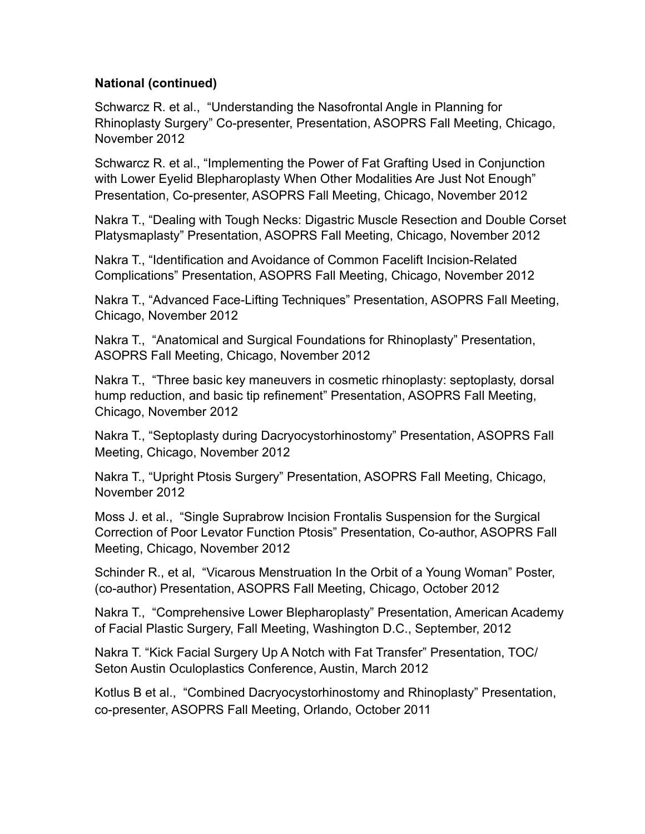Schwarcz R. et al., "Understanding the Nasofrontal Angle in Planning for Rhinoplasty Surgery" Co-presenter, Presentation, ASOPRS Fall Meeting, Chicago, November 2012

Schwarcz R. et al., "Implementing the Power of Fat Grafting Used in Conjunction with Lower Eyelid Blepharoplasty When Other Modalities Are Just Not Enough" Presentation, Co-presenter, ASOPRS Fall Meeting, Chicago, November 2012

Nakra T., "Dealing with Tough Necks: Digastric Muscle Resection and Double Corset Platysmaplasty" Presentation, ASOPRS Fall Meeting, Chicago, November 2012

Nakra T., "Identification and Avoidance of Common Facelift Incision-Related Complications" Presentation, ASOPRS Fall Meeting, Chicago, November 2012

Nakra T., "Advanced Face-Lifting Techniques" Presentation, ASOPRS Fall Meeting, Chicago, November 2012

Nakra T., "Anatomical and Surgical Foundations for Rhinoplasty" Presentation, ASOPRS Fall Meeting, Chicago, November 2012

Nakra T., "Three basic key maneuvers in cosmetic rhinoplasty: septoplasty, dorsal hump reduction, and basic tip refinement" Presentation, ASOPRS Fall Meeting, Chicago, November 2012

Nakra T., "Septoplasty during Dacryocystorhinostomy" Presentation, ASOPRS Fall Meeting, Chicago, November 2012

Nakra T., "Upright Ptosis Surgery" Presentation, ASOPRS Fall Meeting, Chicago, November 2012

Moss J. et al., "Single Suprabrow Incision Frontalis Suspension for the Surgical Correction of Poor Levator Function Ptosis" Presentation, Co-author, ASOPRS Fall Meeting, Chicago, November 2012

Schinder R., et al, "Vicarous Menstruation In the Orbit of a Young Woman" Poster, (co-author) Presentation, ASOPRS Fall Meeting, Chicago, October 2012

Nakra T., "Comprehensive Lower Blepharoplasty" Presentation, American Academy of Facial Plastic Surgery, Fall Meeting, Washington D.C., September, 2012

Nakra T. "Kick Facial Surgery Up A Notch with Fat Transfer" Presentation, TOC/ Seton Austin Oculoplastics Conference, Austin, March 2012

Kotlus B et al., "Combined Dacryocystorhinostomy and Rhinoplasty" Presentation, co-presenter, ASOPRS Fall Meeting, Orlando, October 2011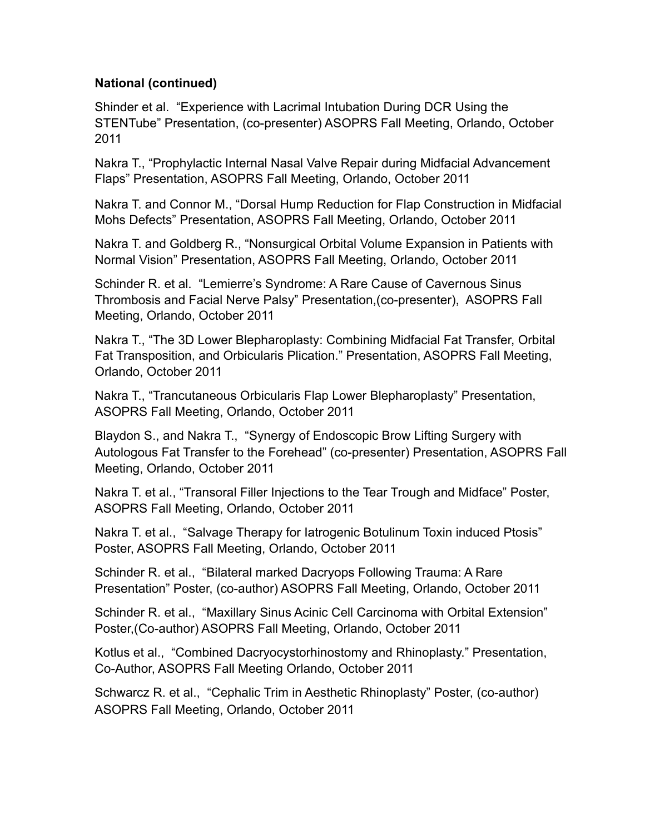Shinder et al. "Experience with Lacrimal Intubation During DCR Using the STENTube" Presentation, (co-presenter) ASOPRS Fall Meeting, Orlando, October 2011

Nakra T., "Prophylactic Internal Nasal Valve Repair during Midfacial Advancement Flaps" Presentation, ASOPRS Fall Meeting, Orlando, October 2011

Nakra T. and Connor M., "Dorsal Hump Reduction for Flap Construction in Midfacial Mohs Defects" Presentation, ASOPRS Fall Meeting, Orlando, October 2011

Nakra T. and Goldberg R., "Nonsurgical Orbital Volume Expansion in Patients with Normal Vision" Presentation, ASOPRS Fall Meeting, Orlando, October 2011

Schinder R. et al. "Lemierre's Syndrome: A Rare Cause of Cavernous Sinus Thrombosis and Facial Nerve Palsy" Presentation,(co-presenter), ASOPRS Fall Meeting, Orlando, October 2011

Nakra T., "The 3D Lower Blepharoplasty: Combining Midfacial Fat Transfer, Orbital Fat Transposition, and Orbicularis Plication." Presentation, ASOPRS Fall Meeting, Orlando, October 2011

Nakra T., "Trancutaneous Orbicularis Flap Lower Blepharoplasty" Presentation, ASOPRS Fall Meeting, Orlando, October 2011

Blaydon S., and Nakra T., "Synergy of Endoscopic Brow Lifting Surgery with Autologous Fat Transfer to the Forehead" (co-presenter) Presentation, ASOPRS Fall Meeting, Orlando, October 2011

Nakra T. et al., "Transoral Filler Injections to the Tear Trough and Midface" Poster, ASOPRS Fall Meeting, Orlando, October 2011

Nakra T. et al., "Salvage Therapy for Iatrogenic Botulinum Toxin induced Ptosis" Poster, ASOPRS Fall Meeting, Orlando, October 2011

Schinder R. et al., "Bilateral marked Dacryops Following Trauma: A Rare Presentation" Poster, (co-author) ASOPRS Fall Meeting, Orlando, October 2011

Schinder R. et al., "Maxillary Sinus Acinic Cell Carcinoma with Orbital Extension" Poster,(Co-author) ASOPRS Fall Meeting, Orlando, October 2011

Kotlus et al., "Combined Dacryocystorhinostomy and Rhinoplasty." Presentation, Co-Author, ASOPRS Fall Meeting Orlando, October 2011

Schwarcz R. et al., "Cephalic Trim in Aesthetic Rhinoplasty" Poster, (co-author) ASOPRS Fall Meeting, Orlando, October 2011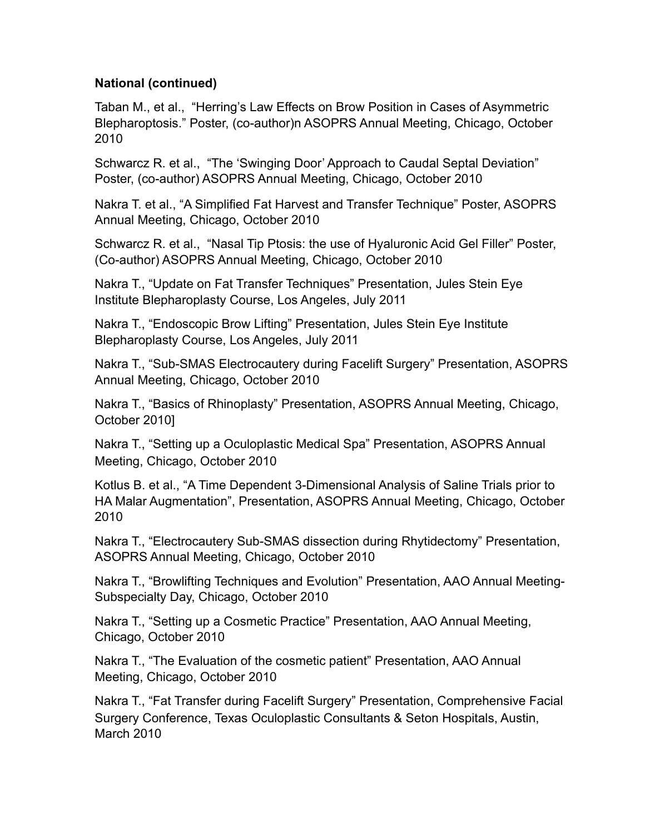Taban M., et al., "Herring's Law Effects on Brow Position in Cases of Asymmetric Blepharoptosis." Poster, (co-author)n ASOPRS Annual Meeting, Chicago, October 2010

Schwarcz R. et al., "The 'Swinging Door' Approach to Caudal Septal Deviation" Poster, (co-author) ASOPRS Annual Meeting, Chicago, October 2010

Nakra T. et al., "A Simplified Fat Harvest and Transfer Technique" Poster, ASOPRS Annual Meeting, Chicago, October 2010

Schwarcz R. et al., "Nasal Tip Ptosis: the use of Hyaluronic Acid Gel Filler" Poster, (Co-author) ASOPRS Annual Meeting, Chicago, October 2010

Nakra T., "Update on Fat Transfer Techniques" Presentation, Jules Stein Eye Institute Blepharoplasty Course, Los Angeles, July 2011

Nakra T., "Endoscopic Brow Lifting" Presentation, Jules Stein Eye Institute Blepharoplasty Course, Los Angeles, July 2011

Nakra T., "Sub-SMAS Electrocautery during Facelift Surgery" Presentation, ASOPRS Annual Meeting, Chicago, October 2010

Nakra T., "Basics of Rhinoplasty" Presentation, ASOPRS Annual Meeting, Chicago, October 2010]

Nakra T., "Setting up a Oculoplastic Medical Spa" Presentation, ASOPRS Annual Meeting, Chicago, October 2010

Kotlus B. et al., "A Time Dependent 3-Dimensional Analysis of Saline Trials prior to HA Malar Augmentation", Presentation, ASOPRS Annual Meeting, Chicago, October 2010

Nakra T., "Electrocautery Sub-SMAS dissection during Rhytidectomy" Presentation, ASOPRS Annual Meeting, Chicago, October 2010

Nakra T., "Browlifting Techniques and Evolution" Presentation, AAO Annual Meeting-Subspecialty Day, Chicago, October 2010

Nakra T., "Setting up a Cosmetic Practice" Presentation, AAO Annual Meeting, Chicago, October 2010

Nakra T., "The Evaluation of the cosmetic patient" Presentation, AAO Annual Meeting, Chicago, October 2010

Nakra T., "Fat Transfer during Facelift Surgery" Presentation, Comprehensive Facial Surgery Conference, Texas Oculoplastic Consultants & Seton Hospitals, Austin, March 2010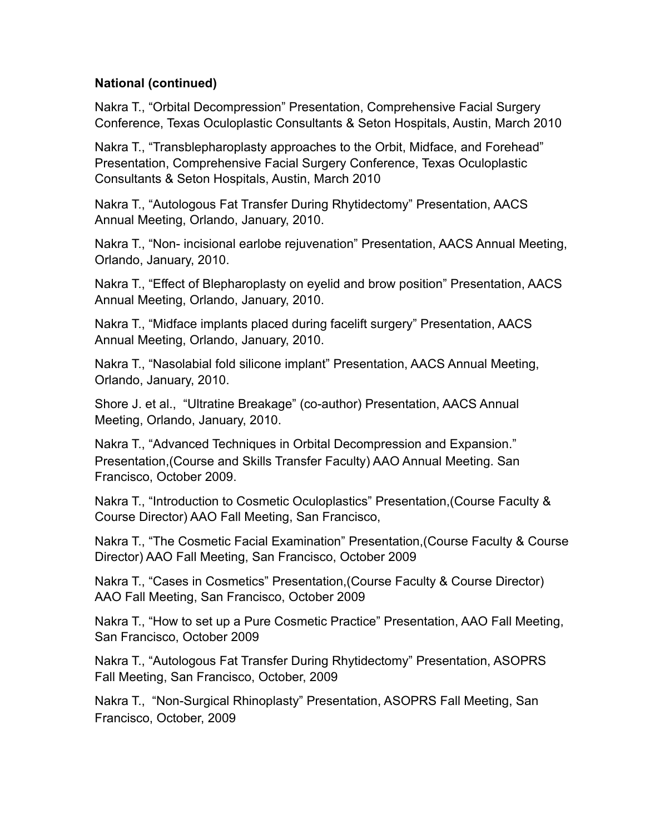Nakra T., "Orbital Decompression" Presentation, Comprehensive Facial Surgery Conference, Texas Oculoplastic Consultants & Seton Hospitals, Austin, March 2010

Nakra T., "Transblepharoplasty approaches to the Orbit, Midface, and Forehead" Presentation, Comprehensive Facial Surgery Conference, Texas Oculoplastic Consultants & Seton Hospitals, Austin, March 2010

Nakra T., "Autologous Fat Transfer During Rhytidectomy" Presentation, AACS Annual Meeting, Orlando, January, 2010.

Nakra T., "Non- incisional earlobe rejuvenation" Presentation, AACS Annual Meeting, Orlando, January, 2010.

Nakra T., "Effect of Blepharoplasty on eyelid and brow position" Presentation, AACS Annual Meeting, Orlando, January, 2010.

Nakra T., "Midface implants placed during facelift surgery" Presentation, AACS Annual Meeting, Orlando, January, 2010.

Nakra T., "Nasolabial fold silicone implant" Presentation, AACS Annual Meeting, Orlando, January, 2010.

Shore J. et al., "Ultratine Breakage" (co-author) Presentation, AACS Annual Meeting, Orlando, January, 2010.

Nakra T., "Advanced Techniques in Orbital Decompression and Expansion." Presentation,(Course and Skills Transfer Faculty) AAO Annual Meeting. San Francisco, October 2009.

Nakra T., "Introduction to Cosmetic Oculoplastics" Presentation,(Course Faculty & Course Director) AAO Fall Meeting, San Francisco,

Nakra T., "The Cosmetic Facial Examination" Presentation,(Course Faculty & Course Director) AAO Fall Meeting, San Francisco, October 2009

Nakra T., "Cases in Cosmetics" Presentation,(Course Faculty & Course Director) AAO Fall Meeting, San Francisco, October 2009

Nakra T., "How to set up a Pure Cosmetic Practice" Presentation, AAO Fall Meeting, San Francisco, October 2009

Nakra T., "Autologous Fat Transfer During Rhytidectomy" Presentation, ASOPRS Fall Meeting, San Francisco, October, 2009

Nakra T., "Non-Surgical Rhinoplasty" Presentation, ASOPRS Fall Meeting, San Francisco, October, 2009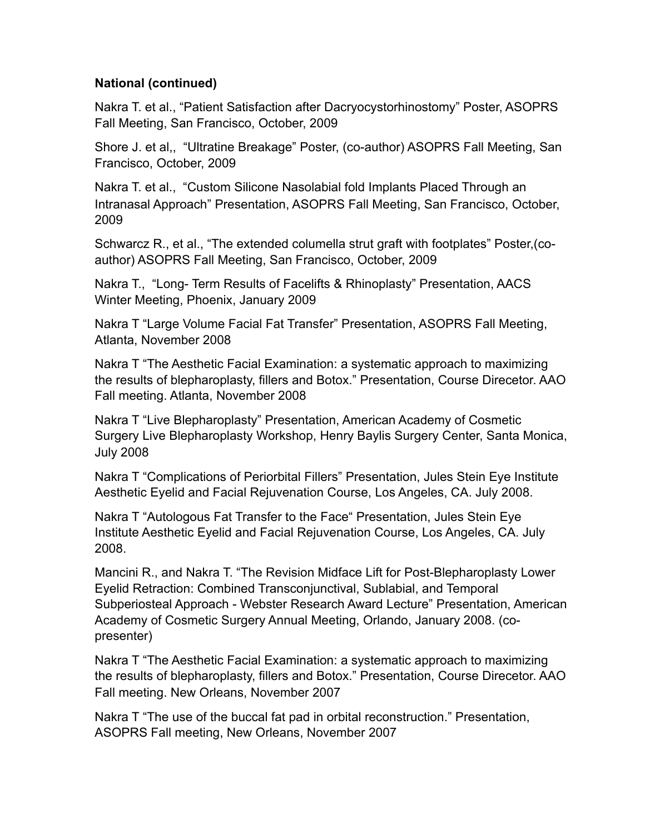Nakra T. et al., "Patient Satisfaction after Dacryocystorhinostomy" Poster, ASOPRS Fall Meeting, San Francisco, October, 2009

Shore J. et al,, "Ultratine Breakage" Poster, (co-author) ASOPRS Fall Meeting, San Francisco, October, 2009

Nakra T. et al., "Custom Silicone Nasolabial fold Implants Placed Through an Intranasal Approach" Presentation, ASOPRS Fall Meeting, San Francisco, October, 2009

Schwarcz R., et al., "The extended columella strut graft with footplates" Poster,(coauthor) ASOPRS Fall Meeting, San Francisco, October, 2009

Nakra T., "Long- Term Results of Facelifts & Rhinoplasty" Presentation, AACS Winter Meeting, Phoenix, January 2009

Nakra T "Large Volume Facial Fat Transfer" Presentation, ASOPRS Fall Meeting, Atlanta, November 2008

Nakra T "The Aesthetic Facial Examination: a systematic approach to maximizing the results of blepharoplasty, fillers and Botox." Presentation, Course Direcetor. AAO Fall meeting. Atlanta, November 2008

Nakra T "Live Blepharoplasty" Presentation, American Academy of Cosmetic Surgery Live Blepharoplasty Workshop, Henry Baylis Surgery Center, Santa Monica, July 2008

Nakra T "Complications of Periorbital Fillers" Presentation, Jules Stein Eye Institute Aesthetic Eyelid and Facial Rejuvenation Course, Los Angeles, CA. July 2008.

Nakra T "Autologous Fat Transfer to the Face" Presentation, Jules Stein Eye Institute Aesthetic Eyelid and Facial Rejuvenation Course, Los Angeles, CA. July 2008.

Mancini R., and Nakra T. "The Revision Midface Lift for Post-Blepharoplasty Lower Eyelid Retraction: Combined Transconjunctival, Sublabial, and Temporal Subperiosteal Approach - Webster Research Award Lecture" Presentation, American Academy of Cosmetic Surgery Annual Meeting, Orlando, January 2008. (copresenter)

Nakra T "The Aesthetic Facial Examination: a systematic approach to maximizing the results of blepharoplasty, fillers and Botox." Presentation, Course Direcetor. AAO Fall meeting. New Orleans, November 2007

Nakra T "The use of the buccal fat pad in orbital reconstruction." Presentation, ASOPRS Fall meeting, New Orleans, November 2007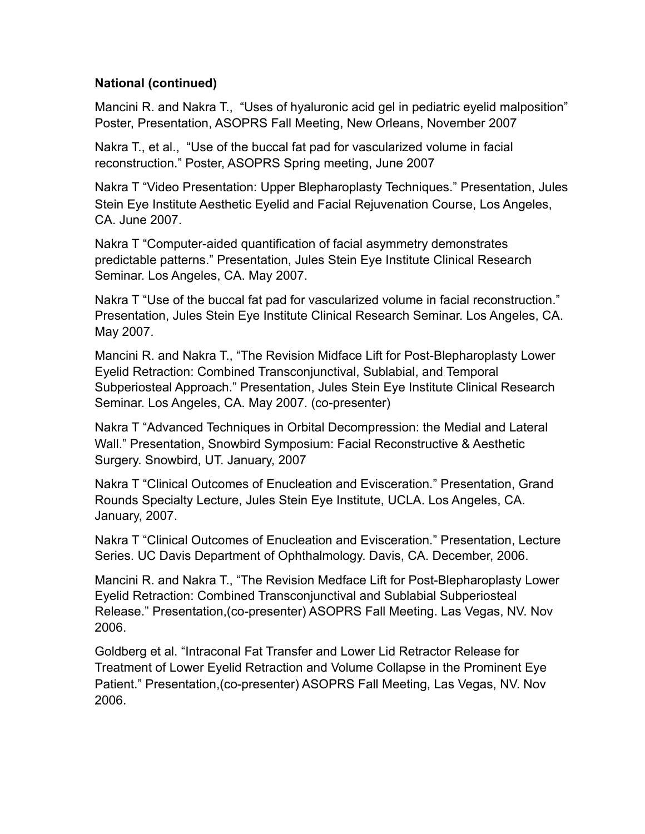Mancini R. and Nakra T., "Uses of hyaluronic acid gel in pediatric eyelid malposition" Poster, Presentation, ASOPRS Fall Meeting, New Orleans, November 2007

Nakra T., et al., "Use of the buccal fat pad for vascularized volume in facial reconstruction." Poster, ASOPRS Spring meeting, June 2007

Nakra T "Video Presentation: Upper Blepharoplasty Techniques." Presentation, Jules Stein Eye Institute Aesthetic Eyelid and Facial Rejuvenation Course, Los Angeles, CA. June 2007.

Nakra T "Computer-aided quantification of facial asymmetry demonstrates predictable patterns." Presentation, Jules Stein Eye Institute Clinical Research Seminar. Los Angeles, CA. May 2007.

Nakra T "Use of the buccal fat pad for vascularized volume in facial reconstruction." Presentation, Jules Stein Eye Institute Clinical Research Seminar. Los Angeles, CA. May 2007.

Mancini R. and Nakra T., "The Revision Midface Lift for Post-Blepharoplasty Lower Eyelid Retraction: Combined Transconjunctival, Sublabial, and Temporal Subperiosteal Approach." Presentation, Jules Stein Eye Institute Clinical Research Seminar. Los Angeles, CA. May 2007. (co-presenter)

Nakra T "Advanced Techniques in Orbital Decompression: the Medial and Lateral Wall." Presentation, Snowbird Symposium: Facial Reconstructive & Aesthetic Surgery. Snowbird, UT. January, 2007

Nakra T "Clinical Outcomes of Enucleation and Evisceration." Presentation, Grand Rounds Specialty Lecture, Jules Stein Eye Institute, UCLA. Los Angeles, CA. January, 2007.

Nakra T "Clinical Outcomes of Enucleation and Evisceration." Presentation, Lecture Series. UC Davis Department of Ophthalmology. Davis, CA. December, 2006.

Mancini R. and Nakra T., "The Revision Medface Lift for Post-Blepharoplasty Lower Eyelid Retraction: Combined Transconjunctival and Sublabial Subperiosteal Release." Presentation,(co-presenter) ASOPRS Fall Meeting. Las Vegas, NV. Nov 2006.

Goldberg et al. "Intraconal Fat Transfer and Lower Lid Retractor Release for Treatment of Lower Eyelid Retraction and Volume Collapse in the Prominent Eye Patient." Presentation,(co-presenter) ASOPRS Fall Meeting, Las Vegas, NV. Nov 2006.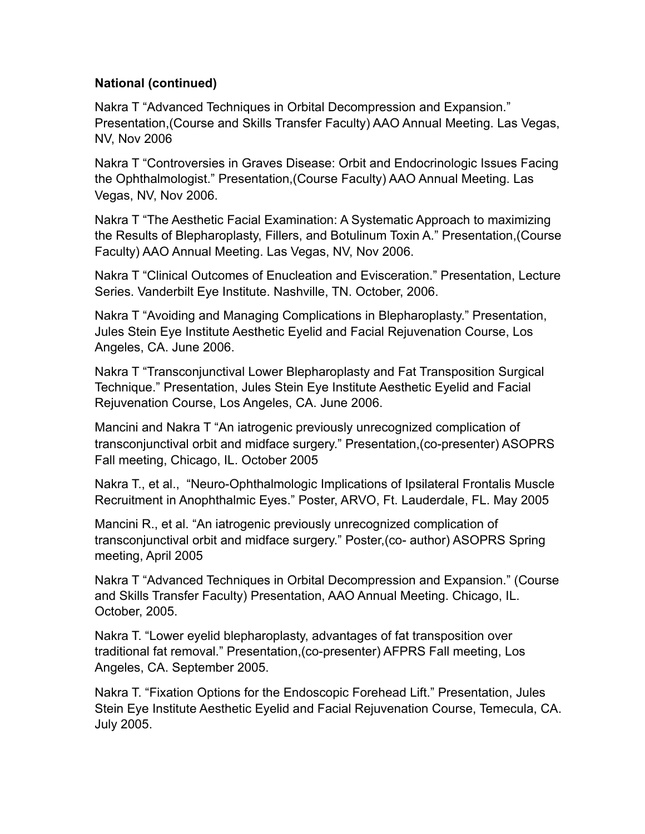Nakra T "Advanced Techniques in Orbital Decompression and Expansion." Presentation,(Course and Skills Transfer Faculty) AAO Annual Meeting. Las Vegas, NV, Nov 2006

Nakra T "Controversies in Graves Disease: Orbit and Endocrinologic Issues Facing the Ophthalmologist." Presentation,(Course Faculty) AAO Annual Meeting. Las Vegas, NV, Nov 2006.

Nakra T "The Aesthetic Facial Examination: A Systematic Approach to maximizing the Results of Blepharoplasty, Fillers, and Botulinum Toxin A." Presentation,(Course Faculty) AAO Annual Meeting. Las Vegas, NV, Nov 2006.

Nakra T "Clinical Outcomes of Enucleation and Evisceration." Presentation, Lecture Series. Vanderbilt Eye Institute. Nashville, TN. October, 2006.

Nakra T "Avoiding and Managing Complications in Blepharoplasty." Presentation, Jules Stein Eye Institute Aesthetic Eyelid and Facial Rejuvenation Course, Los Angeles, CA. June 2006.

Nakra T "Transconjunctival Lower Blepharoplasty and Fat Transposition Surgical Technique." Presentation, Jules Stein Eye Institute Aesthetic Eyelid and Facial Rejuvenation Course, Los Angeles, CA. June 2006.

Mancini and Nakra T "An iatrogenic previously unrecognized complication of transconjunctival orbit and midface surgery." Presentation,(co-presenter) ASOPRS Fall meeting, Chicago, IL. October 2005

Nakra T., et al., "Neuro-Ophthalmologic Implications of Ipsilateral Frontalis Muscle Recruitment in Anophthalmic Eyes." Poster, ARVO, Ft. Lauderdale, FL. May 2005

Mancini R., et al. "An iatrogenic previously unrecognized complication of transconjunctival orbit and midface surgery." Poster,(co- author) ASOPRS Spring meeting, April 2005

Nakra T "Advanced Techniques in Orbital Decompression and Expansion." (Course and Skills Transfer Faculty) Presentation, AAO Annual Meeting. Chicago, IL. October, 2005.

Nakra T. "Lower eyelid blepharoplasty, advantages of fat transposition over traditional fat removal." Presentation,(co-presenter) AFPRS Fall meeting, Los Angeles, CA. September 2005.

Nakra T. "Fixation Options for the Endoscopic Forehead Lift." Presentation, Jules Stein Eye Institute Aesthetic Eyelid and Facial Rejuvenation Course, Temecula, CA. July 2005.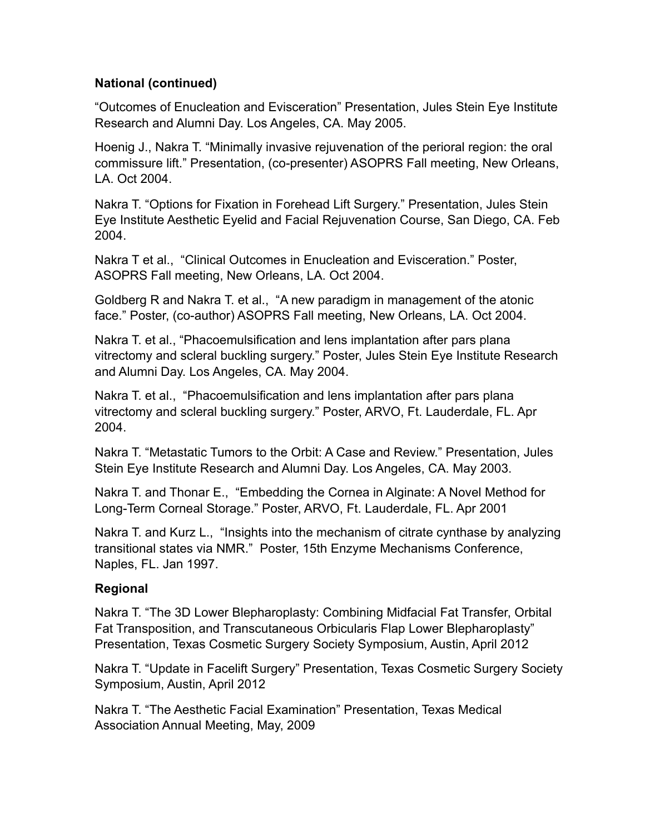"Outcomes of Enucleation and Evisceration" Presentation, Jules Stein Eye Institute Research and Alumni Day. Los Angeles, CA. May 2005.

Hoenig J., Nakra T. "Minimally invasive rejuvenation of the perioral region: the oral commissure lift." Presentation, (co-presenter) ASOPRS Fall meeting, New Orleans, LA. Oct 2004.

Nakra T. "Options for Fixation in Forehead Lift Surgery." Presentation, Jules Stein Eye Institute Aesthetic Eyelid and Facial Rejuvenation Course, San Diego, CA. Feb 2004.

Nakra T et al., "Clinical Outcomes in Enucleation and Evisceration." Poster, ASOPRS Fall meeting, New Orleans, LA. Oct 2004.

Goldberg R and Nakra T. et al., "A new paradigm in management of the atonic face." Poster, (co-author) ASOPRS Fall meeting, New Orleans, LA. Oct 2004.

Nakra T. et al., "Phacoemulsification and lens implantation after pars plana vitrectomy and scleral buckling surgery." Poster, Jules Stein Eye Institute Research and Alumni Day. Los Angeles, CA. May 2004.

Nakra T. et al., "Phacoemulsification and lens implantation after pars plana vitrectomy and scleral buckling surgery." Poster, ARVO, Ft. Lauderdale, FL. Apr 2004.

Nakra T. "Metastatic Tumors to the Orbit: A Case and Review." Presentation, Jules Stein Eye Institute Research and Alumni Day. Los Angeles, CA. May 2003.

Nakra T. and Thonar E., "Embedding the Cornea in Alginate: A Novel Method for Long-Term Corneal Storage." Poster, ARVO, Ft. Lauderdale, FL. Apr 2001

Nakra T. and Kurz L., "Insights into the mechanism of citrate cynthase by analyzing transitional states via NMR." Poster, 15th Enzyme Mechanisms Conference, Naples, FL. Jan 1997.

## **Regional**

Nakra T. "The 3D Lower Blepharoplasty: Combining Midfacial Fat Transfer, Orbital Fat Transposition, and Transcutaneous Orbicularis Flap Lower Blepharoplasty" Presentation, Texas Cosmetic Surgery Society Symposium, Austin, April 2012

Nakra T. "Update in Facelift Surgery" Presentation, Texas Cosmetic Surgery Society Symposium, Austin, April 2012

Nakra T. "The Aesthetic Facial Examination" Presentation, Texas Medical Association Annual Meeting, May, 2009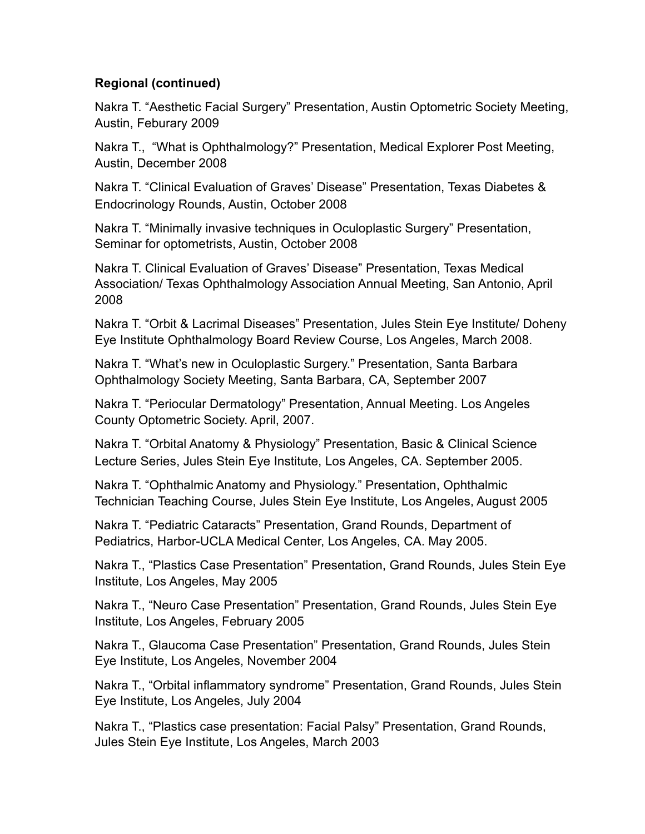## **Regional (continued)**

Nakra T. "Aesthetic Facial Surgery" Presentation, Austin Optometric Society Meeting, Austin, Feburary 2009

Nakra T., "What is Ophthalmology?" Presentation, Medical Explorer Post Meeting, Austin, December 2008

Nakra T. "Clinical Evaluation of Graves' Disease" Presentation, Texas Diabetes & Endocrinology Rounds, Austin, October 2008

Nakra T. "Minimally invasive techniques in Oculoplastic Surgery" Presentation, Seminar for optometrists, Austin, October 2008

Nakra T. Clinical Evaluation of Graves' Disease" Presentation, Texas Medical Association/ Texas Ophthalmology Association Annual Meeting, San Antonio, April 2008

Nakra T. "Orbit & Lacrimal Diseases" Presentation, Jules Stein Eye Institute/ Doheny Eye Institute Ophthalmology Board Review Course, Los Angeles, March 2008.

Nakra T. "What's new in Oculoplastic Surgery." Presentation, Santa Barbara Ophthalmology Society Meeting, Santa Barbara, CA, September 2007

Nakra T. "Periocular Dermatology" Presentation, Annual Meeting. Los Angeles County Optometric Society. April, 2007.

Nakra T. "Orbital Anatomy & Physiology" Presentation, Basic & Clinical Science Lecture Series, Jules Stein Eye Institute, Los Angeles, CA. September 2005.

Nakra T. "Ophthalmic Anatomy and Physiology." Presentation, Ophthalmic Technician Teaching Course, Jules Stein Eye Institute, Los Angeles, August 2005

Nakra T. "Pediatric Cataracts" Presentation, Grand Rounds, Department of Pediatrics, Harbor-UCLA Medical Center, Los Angeles, CA. May 2005.

Nakra T., "Plastics Case Presentation" Presentation, Grand Rounds, Jules Stein Eye Institute, Los Angeles, May 2005

Nakra T., "Neuro Case Presentation" Presentation, Grand Rounds, Jules Stein Eye Institute, Los Angeles, February 2005

Nakra T., Glaucoma Case Presentation" Presentation, Grand Rounds, Jules Stein Eye Institute, Los Angeles, November 2004

Nakra T., "Orbital inflammatory syndrome" Presentation, Grand Rounds, Jules Stein Eye Institute, Los Angeles, July 2004

Nakra T., "Plastics case presentation: Facial Palsy" Presentation, Grand Rounds, Jules Stein Eye Institute, Los Angeles, March 2003